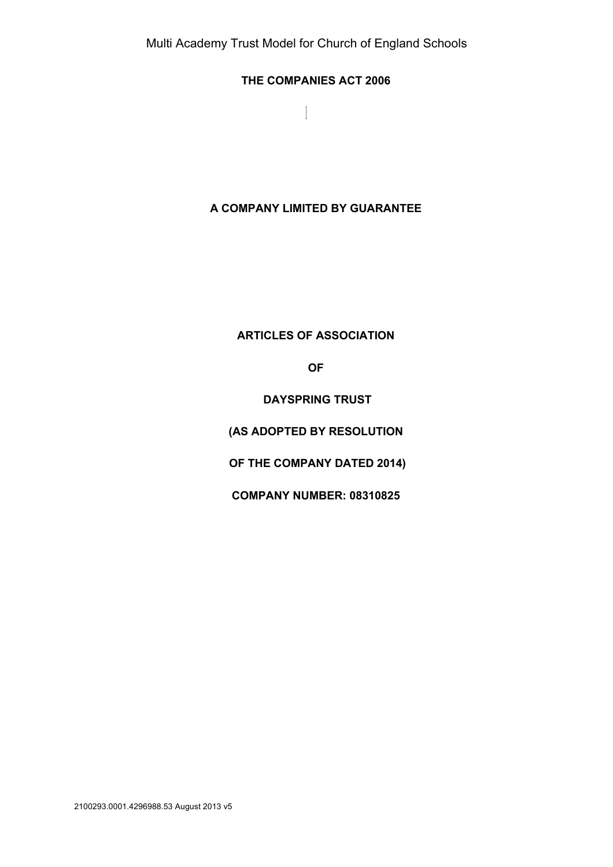$\overline{\phantom{a}}$ 

# **THE COMPANIES ACT 2006**

**A COMPANY LIMITED BY GUARANTEE**

**ARTICLES OF ASSOCIATION**

**OF**

**DAYSPRING TRUST**

**(AS ADOPTED BY RESOLUTION**

**OF THE COMPANY DATED 2014)**

**COMPANY NUMBER: 08310825**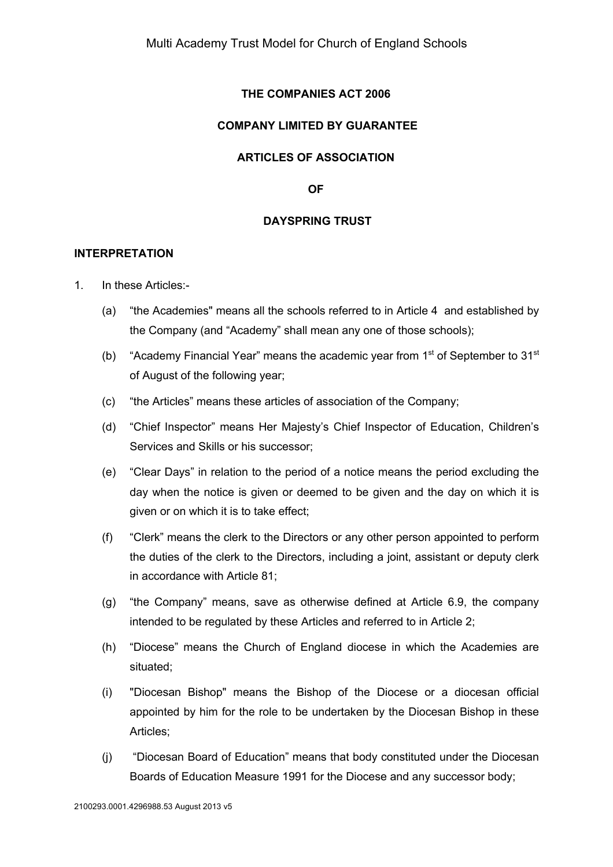# **THE COMPANIES ACT 2006**

# **COMPANY LIMITED BY GUARANTEE**

### **ARTICLES OF ASSOCIATION**

**OF**

### **DAYSPRING TRUST**

#### **INTERPRETATION**

- 1. In these Articles:-
	- (a) "the Academies" means all the schools referred to in Article 4 and established by the Company (and "Academy" shall mean any one of those schools);
	- (b) "Academy Financial Year" means the academic year from  $1<sup>st</sup>$  of September to  $31<sup>st</sup>$ of August of the following year;
	- (c) "the Articles" means these articles of association of the Company;
	- (d) "Chief Inspector" means Her Majesty's Chief Inspector of Education, Children's Services and Skills or his successor;
	- (e) "Clear Days" in relation to the period of a notice means the period excluding the day when the notice is given or deemed to be given and the day on which it is given or on which it is to take effect;
	- (f) "Clerk" means the clerk to the Directors or any other person appointed to perform the duties of the clerk to the Directors, including a joint, assistant or deputy clerk in accordance with Article 81;
	- (g) "the Company" means, save as otherwise defined at Article 6.9, the company intended to be regulated by these Articles and referred to in Article 2;
	- (h) "Diocese" means the Church of England diocese in which the Academies are situated;
	- (i) "Diocesan Bishop" means the Bishop of the Diocese or a diocesan official appointed by him for the role to be undertaken by the Diocesan Bishop in these Articles;
	- (j) "Diocesan Board of Education" means that body constituted under the Diocesan Boards of Education Measure 1991 for the Diocese and any successor body;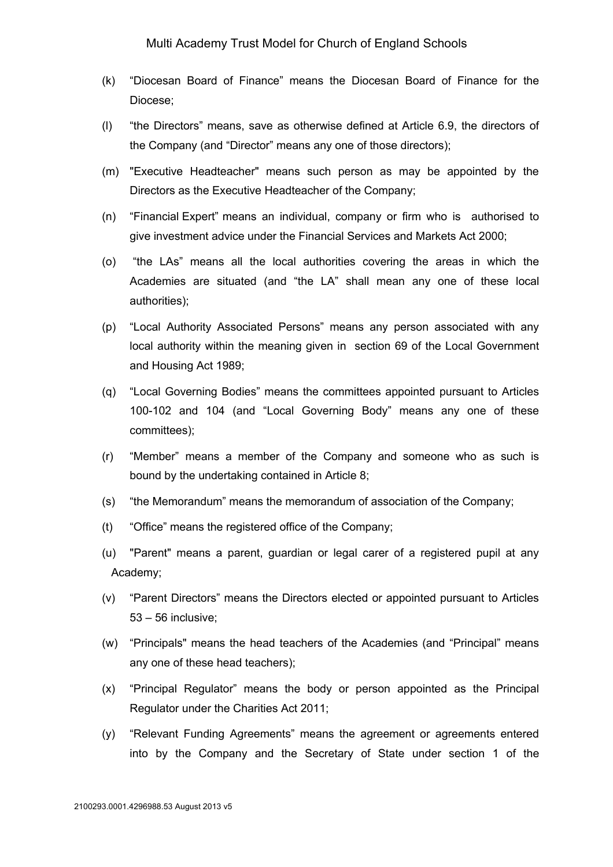- (k) "Diocesan Board of Finance" means the Diocesan Board of Finance for the Diocese;
- (l) "the Directors" means, save as otherwise defined at Article 6.9, the directors of the Company (and "Director" means any one of those directors);
- (m) "Executive Headteacher" means such person as may be appointed by the Directors as the Executive Headteacher of the Company;
- (n) "Financial Expert" means an individual, company or firm who is authorised to give investment advice under the Financial Services and Markets Act 2000;
- (o) "the LAs" means all the local authorities covering the areas in which the Academies are situated (and "the LA" shall mean any one of these local authorities);
- (p) "Local Authority Associated Persons" means any person associated with any local authority within the meaning given in section 69 of the Local Government and Housing Act 1989;
- (q) "Local Governing Bodies" means the committees appointed pursuant to Articles 100-102 and 104 (and "Local Governing Body" means any one of these committees);
- (r) "Member" means a member of the Company and someone who as such is bound by the undertaking contained in Article 8;
- (s) "the Memorandum" means the memorandum of association of the Company;
- (t) "Office" means the registered office of the Company;
- (u) "Parent" means a parent, guardian or legal carer of a registered pupil at any Academy;
- (v) "Parent Directors" means the Directors elected or appointed pursuant to Articles 53 – 56 inclusive;
- (w) "Principals" means the head teachers of the Academies (and "Principal" means any one of these head teachers);
- (x) "Principal Regulator" means the body or person appointed as the Principal Regulator under the Charities Act 2011;
- (y) "Relevant Funding Agreements" means the agreement or agreements entered into by the Company and the Secretary of State under section 1 of the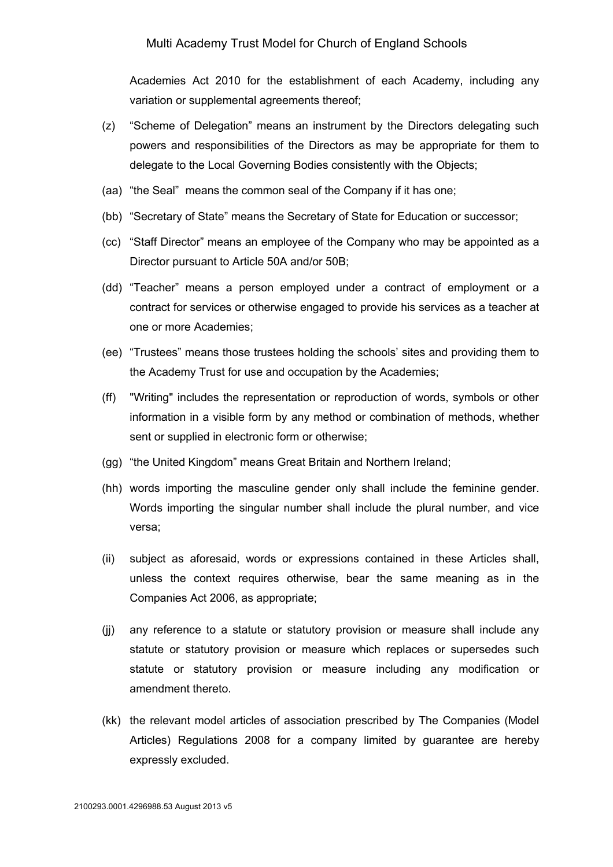Academies Act 2010 for the establishment of each Academy, including any variation or supplemental agreements thereof;

- (z) "Scheme of Delegation" means an instrument by the Directors delegating such powers and responsibilities of the Directors as may be appropriate for them to delegate to the Local Governing Bodies consistently with the Objects;
- (aa) "the Seal" means the common seal of the Company if it has one;
- (bb) "Secretary of State" means the Secretary of State for Education or successor;
- (cc) "Staff Director" means an employee of the Company who may be appointed as a Director pursuant to Article 50A and/or 50B;
- (dd) "Teacher" means a person employed under a contract of employment or a contract for services or otherwise engaged to provide his services as a teacher at one or more Academies;
- (ee) "Trustees" means those trustees holding the schools' sites and providing them to the Academy Trust for use and occupation by the Academies;
- (ff) "Writing" includes the representation or reproduction of words, symbols or other information in a visible form by any method or combination of methods, whether sent or supplied in electronic form or otherwise;
- (gg) "the United Kingdom" means Great Britain and Northern Ireland;
- (hh) words importing the masculine gender only shall include the feminine gender. Words importing the singular number shall include the plural number, and vice versa;
- (ii) subject as aforesaid, words or expressions contained in these Articles shall, unless the context requires otherwise, bear the same meaning as in the Companies Act 2006, as appropriate;
- (jj) any reference to a statute or statutory provision or measure shall include any statute or statutory provision or measure which replaces or supersedes such statute or statutory provision or measure including any modification or amendment thereto.
- (kk) the relevant model articles of association prescribed by The Companies (Model Articles) Regulations 2008 for a company limited by guarantee are hereby expressly excluded.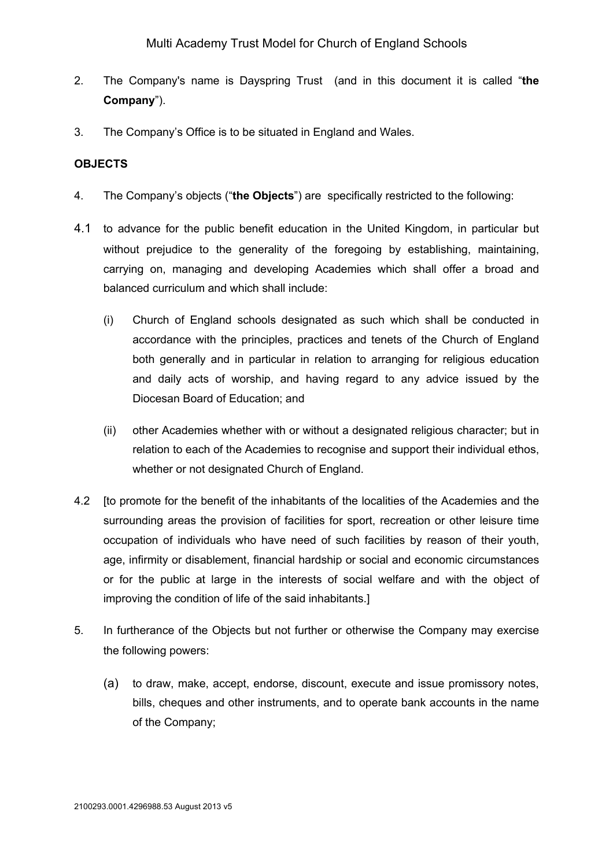- 2. The Company's name is Dayspring Trust (and in this document it is called "**the Company**").
- 3. The Company's Office is to be situated in England and Wales.

### **OBJECTS**

- 4. The Company's objects ("**the Objects**") are specifically restricted to the following:
- 4.1 to advance for the public benefit education in the United Kingdom, in particular but without prejudice to the generality of the foregoing by establishing, maintaining, carrying on, managing and developing Academies which shall offer a broad and balanced curriculum and which shall include:
	- (i) Church of England schools designated as such which shall be conducted in accordance with the principles, practices and tenets of the Church of England both generally and in particular in relation to arranging for religious education and daily acts of worship, and having regard to any advice issued by the Diocesan Board of Education; and
	- (ii) other Academies whether with or without a designated religious character; but in relation to each of the Academies to recognise and support their individual ethos, whether or not designated Church of England.
- 4.2 [to promote for the benefit of the inhabitants of the localities of the Academies and the surrounding areas the provision of facilities for sport, recreation or other leisure time occupation of individuals who have need of such facilities by reason of their youth, age, infirmity or disablement, financial hardship or social and economic circumstances or for the public at large in the interests of social welfare and with the object of improving the condition of life of the said inhabitants.]
- 5. In furtherance of the Objects but not further or otherwise the Company may exercise the following powers:
	- (a) to draw, make, accept, endorse, discount, execute and issue promissory notes, bills, cheques and other instruments, and to operate bank accounts in the name of the Company;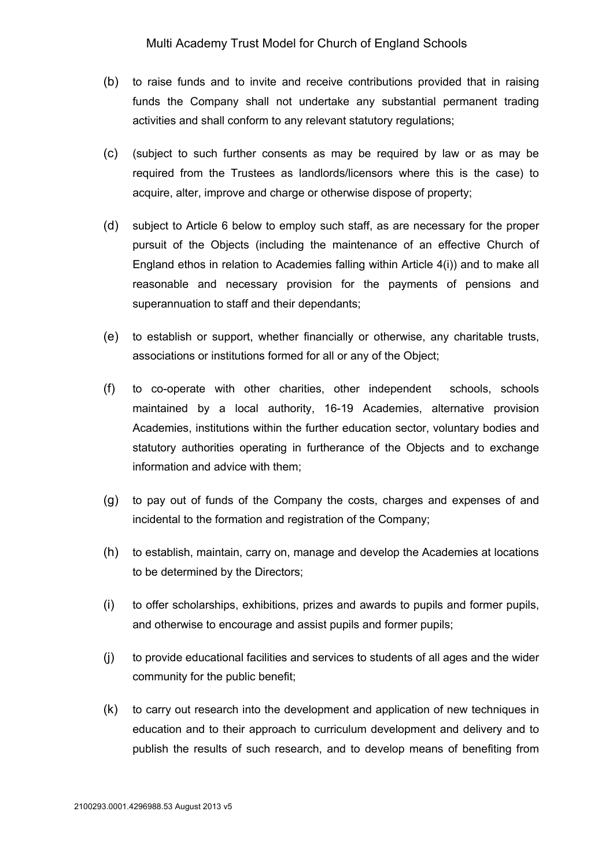- (b) to raise funds and to invite and receive contributions provided that in raising funds the Company shall not undertake any substantial permanent trading activities and shall conform to any relevant statutory regulations;
- (c) (subject to such further consents as may be required by law or as may be required from the Trustees as landlords/licensors where this is the case) to acquire, alter, improve and charge or otherwise dispose of property;
- (d) subject to Article 6 below to employ such staff, as are necessary for the proper pursuit of the Objects (including the maintenance of an effective Church of England ethos in relation to Academies falling within Article 4(i)) and to make all reasonable and necessary provision for the payments of pensions and superannuation to staff and their dependants;
- (e) to establish or support, whether financially or otherwise, any charitable trusts, associations or institutions formed for all or any of the Object;
- (f) to co-operate with other charities, other independent schools, schools maintained by a local authority, 16-19 Academies, alternative provision Academies, institutions within the further education sector, voluntary bodies and statutory authorities operating in furtherance of the Objects and to exchange information and advice with them;
- (g) to pay out of funds of the Company the costs, charges and expenses of and incidental to the formation and registration of the Company:
- (h) to establish, maintain, carry on, manage and develop the Academies at locations to be determined by the Directors;
- (i) to offer scholarships, exhibitions, prizes and awards to pupils and former pupils, and otherwise to encourage and assist pupils and former pupils;
- (j) to provide educational facilities and services to students of all ages and the wider community for the public benefit;
- (k) to carry out research into the development and application of new techniques in education and to their approach to curriculum development and delivery and to publish the results of such research, and to develop means of benefiting from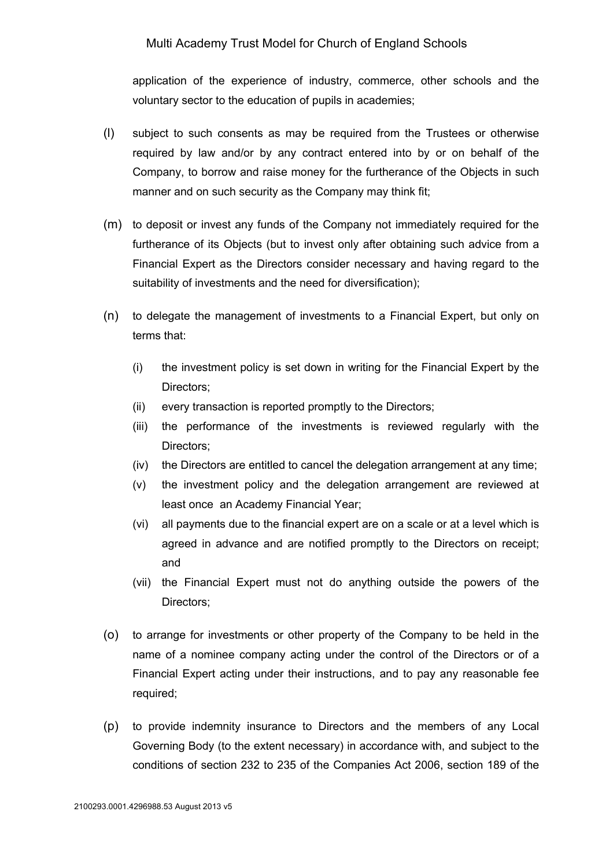application of the experience of industry, commerce, other schools and the voluntary sector to the education of pupils in academies;

- (l) subject to such consents as may be required from the Trustees or otherwise required by law and/or by any contract entered into by or on behalf of the Company, to borrow and raise money for the furtherance of the Objects in such manner and on such security as the Company may think fit;
- (m) to deposit or invest any funds of the Company not immediately required for the furtherance of its Objects (but to invest only after obtaining such advice from a Financial Expert as the Directors consider necessary and having regard to the suitability of investments and the need for diversification);
- (n) to delegate the management of investments to a Financial Expert, but only on terms that:
	- (i) the investment policy is set down in writing for the Financial Expert by the Directors;
	- (ii) every transaction is reported promptly to the Directors;
	- (iii) the performance of the investments is reviewed regularly with the Directors;
	- (iv) the Directors are entitled to cancel the delegation arrangement at any time;
	- (v) the investment policy and the delegation arrangement are reviewed at least once an Academy Financial Year;
	- (vi) all payments due to the financial expert are on a scale or at a level which is agreed in advance and are notified promptly to the Directors on receipt; and
	- (vii) the Financial Expert must not do anything outside the powers of the Directors;
- (o) to arrange for investments or other property of the Company to be held in the name of a nominee company acting under the control of the Directors or of a Financial Expert acting under their instructions, and to pay any reasonable fee required:
- (p) to provide indemnity insurance to Directors and the members of any Local Governing Body (to the extent necessary) in accordance with, and subject to the conditions of section 232 to 235 of the Companies Act 2006, section 189 of the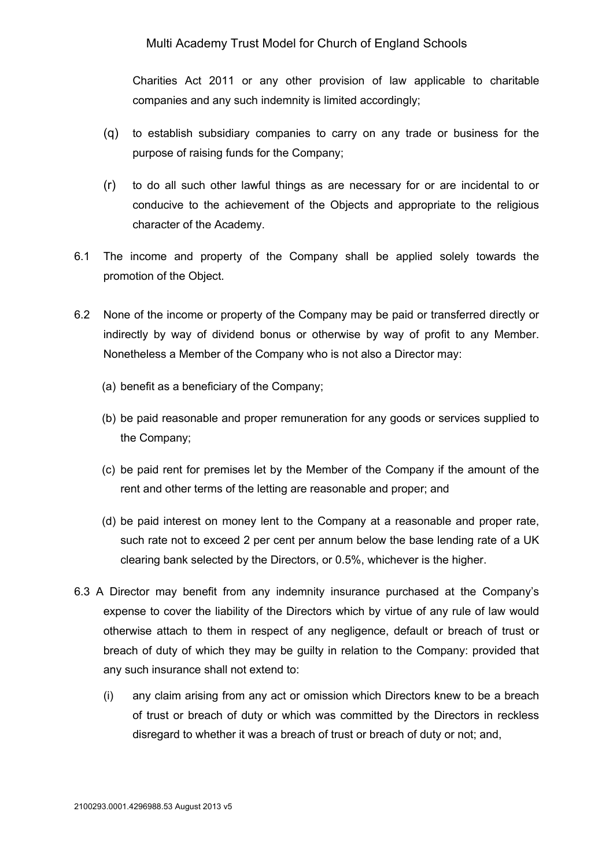Charities Act 2011 or any other provision of law applicable to charitable companies and any such indemnity is limited accordingly;

- (q) to establish subsidiary companies to carry on any trade or business for the purpose of raising funds for the Company;
- (r) to do all such other lawful things as are necessary for or are incidental to or conducive to the achievement of the Objects and appropriate to the religious character of the Academy.
- 6.1 The income and property of the Company shall be applied solely towards the promotion of the Object.
- 6.2 None of the income or property of the Company may be paid or transferred directly or indirectly by way of dividend bonus or otherwise by way of profit to any Member. Nonetheless a Member of the Company who is not also a Director may:
	- (a) benefit as a beneficiary of the Company;
	- (b) be paid reasonable and proper remuneration for any goods or services supplied to the Company;
	- (c) be paid rent for premises let by the Member of the Company if the amount of the rent and other terms of the letting are reasonable and proper; and
	- (d) be paid interest on money lent to the Company at a reasonable and proper rate, such rate not to exceed 2 per cent per annum below the base lending rate of a UK clearing bank selected by the Directors, or 0.5%, whichever is the higher.
- 6.3 A Director may benefit from any indemnity insurance purchased at the Company's expense to cover the liability of the Directors which by virtue of any rule of law would otherwise attach to them in respect of any negligence, default or breach of trust or breach of duty of which they may be guilty in relation to the Company: provided that any such insurance shall not extend to:
	- (i) any claim arising from any act or omission which Directors knew to be a breach of trust or breach of duty or which was committed by the Directors in reckless disregard to whether it was a breach of trust or breach of duty or not; and,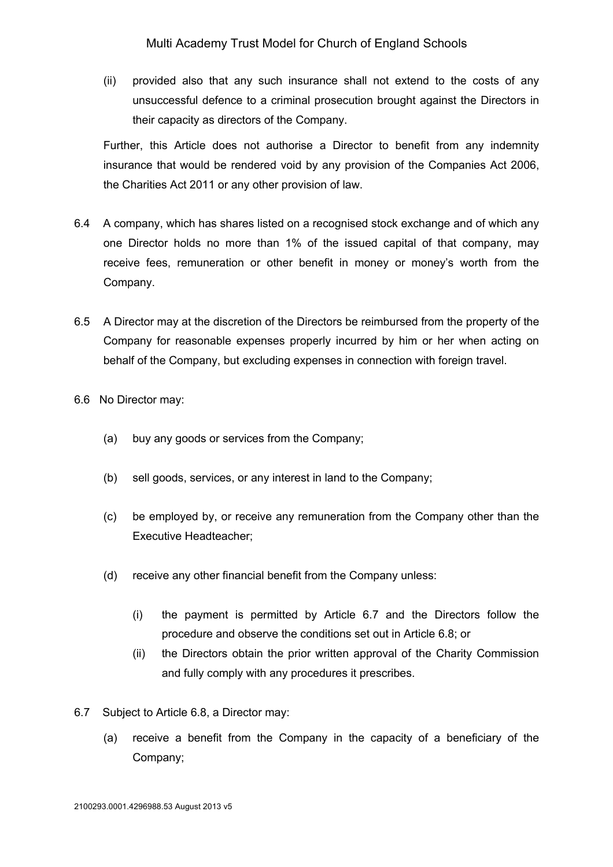(ii) provided also that any such insurance shall not extend to the costs of any unsuccessful defence to a criminal prosecution brought against the Directors in their capacity as directors of the Company.

Further, this Article does not authorise a Director to benefit from any indemnity insurance that would be rendered void by any provision of the Companies Act 2006, the Charities Act 2011 or any other provision of law.

- 6.4 A company, which has shares listed on a recognised stock exchange and of which any one Director holds no more than 1% of the issued capital of that company, may receive fees, remuneration or other benefit in money or money's worth from the Company.
- 6.5 A Director may at the discretion of the Directors be reimbursed from the property of the Company for reasonable expenses properly incurred by him or her when acting on behalf of the Company, but excluding expenses in connection with foreign travel.
- 6.6 No Director may:
	- (a) buy any goods or services from the Company;
	- (b) sell goods, services, or any interest in land to the Company;
	- (c) be employed by, or receive any remuneration from the Company other than the Executive Headteacher;
	- (d) receive any other financial benefit from the Company unless:
		- (i) the payment is permitted by Article 6.7 and the Directors follow the procedure and observe the conditions set out in Article 6.8; or
		- (ii) the Directors obtain the prior written approval of the Charity Commission and fully comply with any procedures it prescribes.
- 6.7 Subject to Article 6.8, a Director may:
	- (a) receive a benefit from the Company in the capacity of a beneficiary of the Company;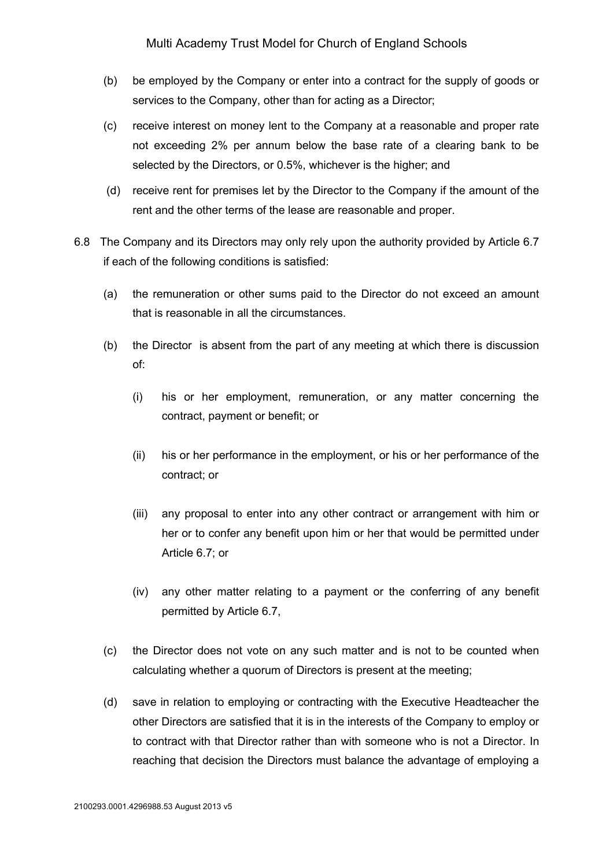- (b) be employed by the Company or enter into a contract for the supply of goods or services to the Company, other than for acting as a Director;
- (c) receive interest on money lent to the Company at a reasonable and proper rate not exceeding 2% per annum below the base rate of a clearing bank to be selected by the Directors, or 0.5%, whichever is the higher; and
- (d) receive rent for premises let by the Director to the Company if the amount of the rent and the other terms of the lease are reasonable and proper.
- 6.8 The Company and its Directors may only rely upon the authority provided by Article 6.7 if each of the following conditions is satisfied:
	- (a) the remuneration or other sums paid to the Director do not exceed an amount that is reasonable in all the circumstances.
	- (b) the Director is absent from the part of any meeting at which there is discussion of:
		- (i) his or her employment, remuneration, or any matter concerning the contract, payment or benefit; or
		- (ii) his or her performance in the employment, or his or her performance of the contract; or
		- (iii) any proposal to enter into any other contract or arrangement with him or her or to confer any benefit upon him or her that would be permitted under Article 6.7; or
		- (iv) any other matter relating to a payment or the conferring of any benefit permitted by Article 6.7,
	- (c) the Director does not vote on any such matter and is not to be counted when calculating whether a quorum of Directors is present at the meeting;
	- (d) save in relation to employing or contracting with the Executive Headteacher the other Directors are satisfied that it is in the interests of the Company to employ or to contract with that Director rather than with someone who is not a Director. In reaching that decision the Directors must balance the advantage of employing a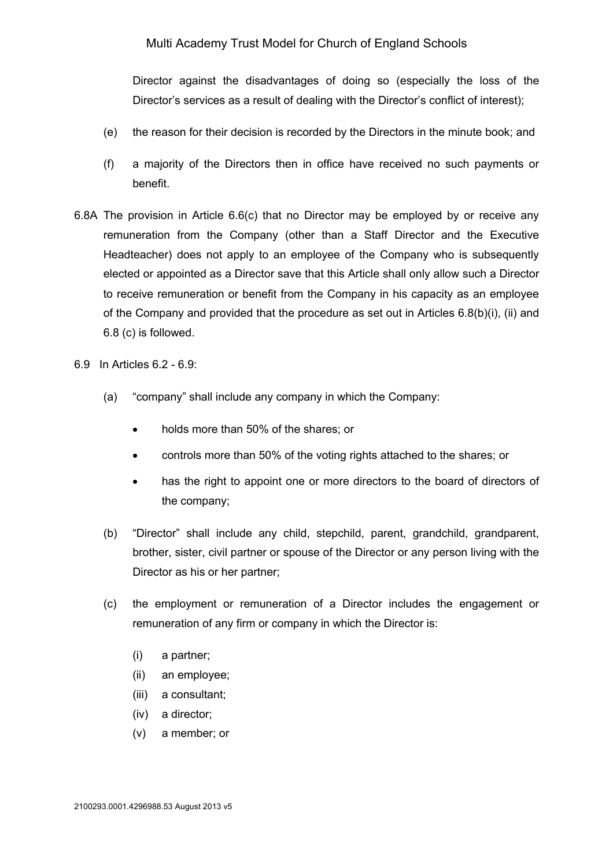Director against the disadvantages of doing so (especially the loss of the Director's services as a result of dealing with the Director's conflict of interest);

- (e) the reason for their decision is recorded by the Directors in the minute book; and
- (f) a majority of the Directors then in office have received no such payments or benefit.
- 6.8A The provision in Article 6.6(c) that no Director may be employed by or receive any remuneration from the Company (other than a Staff Director and the Executive Headteacher) does not apply to an employee of the Company who is subsequently elected or appointed as a Director save that this Article shall only allow such a Director to receive remuneration or benefit from the Company in his capacity as an employee of the Company and provided that the procedure as set out in Articles 6.8(b)(i), (ii) and 6.8 (c) is followed.
- 6.9 In Articles 6.2 6.9:
	- (a) "company" shall include any company in which the Company:
		- holds more than 50% of the shares; or
		- controls more than 50% of the voting rights attached to the shares; or
		- has the right to appoint one or more directors to the board of directors of the company;
	- (b) "Director" shall include any child, stepchild, parent, grandchild, grandparent, brother, sister, civil partner or spouse of the Director or any person living with the Director as his or her partner;
	- (c) the employment or remuneration of a Director includes the engagement or remuneration of any firm or company in which the Director is:
		- (i) a partner;
		- (ii) an employee;
		- (iii) a consultant;
		- (iv) a director;
		- (v) a member; or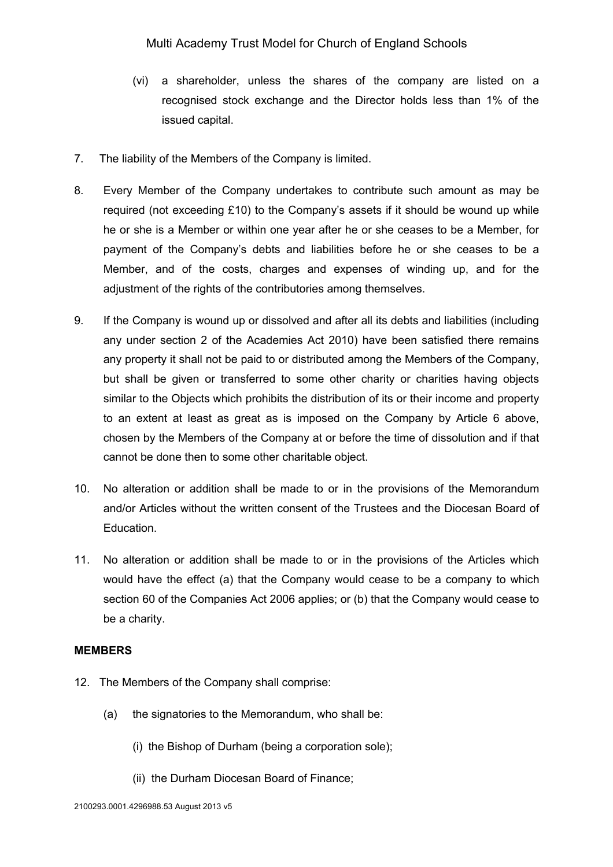- (vi) a shareholder, unless the shares of the company are listed on a recognised stock exchange and the Director holds less than 1% of the issued capital.
- 7. The liability of the Members of the Company is limited.
- 8. Every Member of the Company undertakes to contribute such amount as may be required (not exceeding £10) to the Company's assets if it should be wound up while he or she is a Member or within one year after he or she ceases to be a Member, for payment of the Company's debts and liabilities before he or she ceases to be a Member, and of the costs, charges and expenses of winding up, and for the adjustment of the rights of the contributories among themselves.
- 9. If the Company is wound up or dissolved and after all its debts and liabilities (including any under section 2 of the Academies Act 2010) have been satisfied there remains any property it shall not be paid to or distributed among the Members of the Company, but shall be given or transferred to some other charity or charities having objects similar to the Objects which prohibits the distribution of its or their income and property to an extent at least as great as is imposed on the Company by Article 6 above, chosen by the Members of the Company at or before the time of dissolution and if that cannot be done then to some other charitable object.
- 10. No alteration or addition shall be made to or in the provisions of the Memorandum and/or Articles without the written consent of the Trustees and the Diocesan Board of Education.
- 11. No alteration or addition shall be made to or in the provisions of the Articles which would have the effect (a) that the Company would cease to be a company to which section 60 of the Companies Act 2006 applies; or (b) that the Company would cease to be a charity.

#### **MEMBERS**

- 12. The Members of the Company shall comprise:
	- (a) the signatories to the Memorandum, who shall be:
		- (i) the Bishop of Durham (being a corporation sole);
		- (ii) the Durham Diocesan Board of Finance;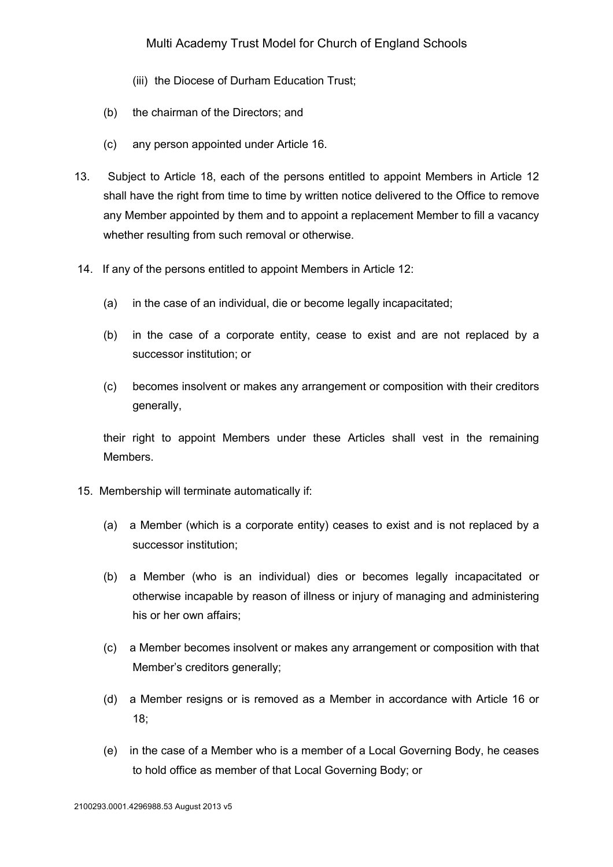- (iii) the Diocese of Durham Education Trust;
- (b) the chairman of the Directors; and
- (c) any person appointed under Article 16.
- 13. Subject to Article 18, each of the persons entitled to appoint Members in Article 12 shall have the right from time to time by written notice delivered to the Office to remove any Member appointed by them and to appoint a replacement Member to fill a vacancy whether resulting from such removal or otherwise.
- 14. If any of the persons entitled to appoint Members in Article 12:
	- (a) in the case of an individual, die or become legally incapacitated;
	- (b) in the case of a corporate entity, cease to exist and are not replaced by a successor institution; or
	- (c) becomes insolvent or makes any arrangement or composition with their creditors generally,

their right to appoint Members under these Articles shall vest in the remaining Members.

- 15. Membership will terminate automatically if:
	- (a) a Member (which is a corporate entity) ceases to exist and is not replaced by a successor institution;
	- (b) a Member (who is an individual) dies or becomes legally incapacitated or otherwise incapable by reason of illness or injury of managing and administering his or her own affairs;
	- (c) a Member becomes insolvent or makes any arrangement or composition with that Member's creditors generally;
	- (d) a Member resigns or is removed as a Member in accordance with Article 16 or 18;
	- (e) in the case of a Member who is a member of a Local Governing Body, he ceases to hold office as member of that Local Governing Body; or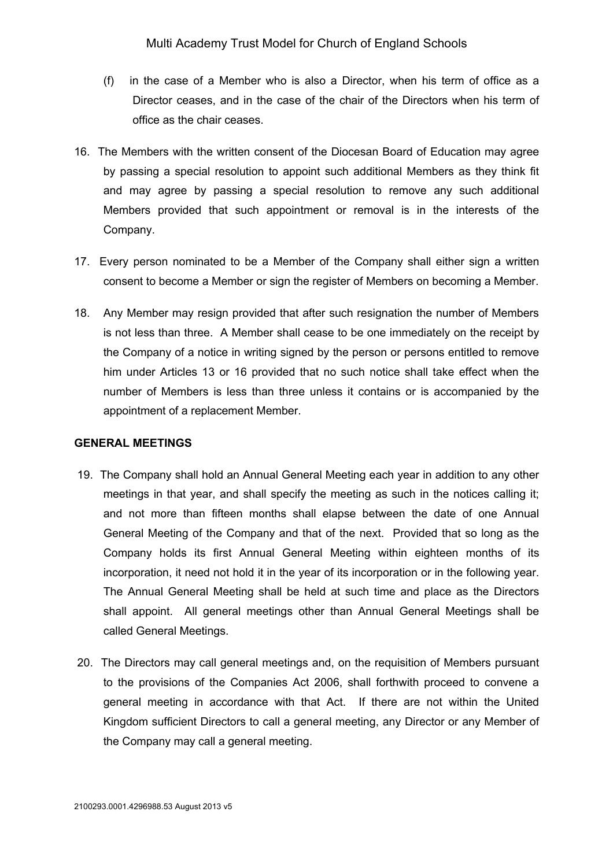- (f) in the case of a Member who is also a Director, when his term of office as a Director ceases, and in the case of the chair of the Directors when his term of office as the chair ceases.
- 16. The Members with the written consent of the Diocesan Board of Education may agree by passing a special resolution to appoint such additional Members as they think fit and may agree by passing a special resolution to remove any such additional Members provided that such appointment or removal is in the interests of the Company.
- 17. Every person nominated to be a Member of the Company shall either sign a written consent to become a Member or sign the register of Members on becoming a Member.
- 18. Any Member may resign provided that after such resignation the number of Members is not less than three. A Member shall cease to be one immediately on the receipt by the Company of a notice in writing signed by the person or persons entitled to remove him under Articles 13 or 16 provided that no such notice shall take effect when the number of Members is less than three unless it contains or is accompanied by the appointment of a replacement Member.

#### **GENERAL MEETINGS**

- 19. The Company shall hold an Annual General Meeting each year in addition to any other meetings in that year, and shall specify the meeting as such in the notices calling it; and not more than fifteen months shall elapse between the date of one Annual General Meeting of the Company and that of the next. Provided that so long as the Company holds its first Annual General Meeting within eighteen months of its incorporation, it need not hold it in the year of its incorporation or in the following year. The Annual General Meeting shall be held at such time and place as the Directors shall appoint. All general meetings other than Annual General Meetings shall be called General Meetings.
- 20. The Directors may call general meetings and, on the requisition of Members pursuant to the provisions of the Companies Act 2006, shall forthwith proceed to convene a general meeting in accordance with that Act. If there are not within the United Kingdom sufficient Directors to call a general meeting, any Director or any Member of the Company may call a general meeting.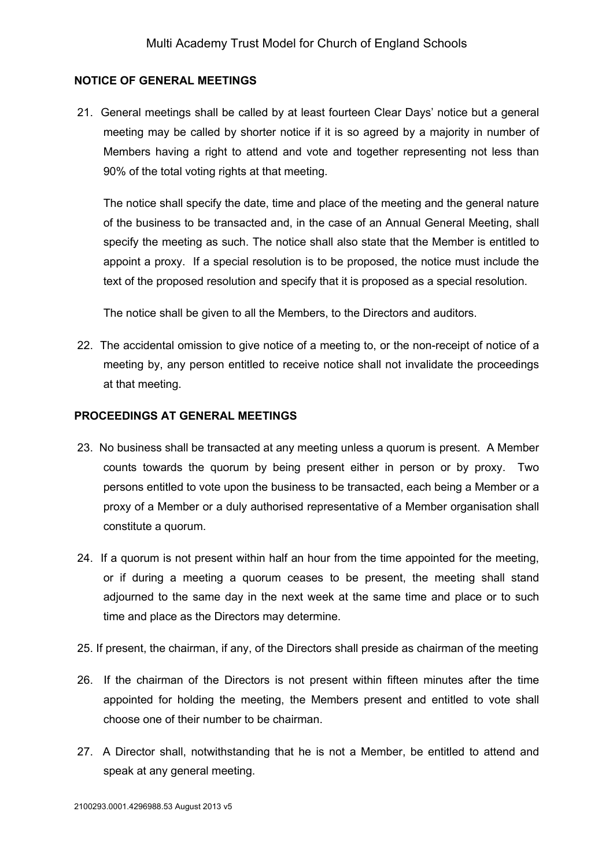### **NOTICE OF GENERAL MEETINGS**

21. General meetings shall be called by at least fourteen Clear Days' notice but a general meeting may be called by shorter notice if it is so agreed by a majority in number of Members having a right to attend and vote and together representing not less than 90% of the total voting rights at that meeting.

The notice shall specify the date, time and place of the meeting and the general nature of the business to be transacted and, in the case of an Annual General Meeting, shall specify the meeting as such. The notice shall also state that the Member is entitled to appoint a proxy. If a special resolution is to be proposed, the notice must include the text of the proposed resolution and specify that it is proposed as a special resolution.

The notice shall be given to all the Members, to the Directors and auditors.

22. The accidental omission to give notice of a meeting to, or the non-receipt of notice of a meeting by, any person entitled to receive notice shall not invalidate the proceedings at that meeting.

### **PROCEEDINGS AT GENERAL MEETINGS**

- 23. No business shall be transacted at any meeting unless a quorum is present. A Member counts towards the quorum by being present either in person or by proxy. Two persons entitled to vote upon the business to be transacted, each being a Member or a proxy of a Member or a duly authorised representative of a Member organisation shall constitute a quorum.
- 24. If a quorum is not present within half an hour from the time appointed for the meeting, or if during a meeting a quorum ceases to be present, the meeting shall stand adjourned to the same day in the next week at the same time and place or to such time and place as the Directors may determine.
- 25. If present, the chairman, if any, of the Directors shall preside as chairman of the meeting
- 26. If the chairman of the Directors is not present within fifteen minutes after the time appointed for holding the meeting, the Members present and entitled to vote shall choose one of their number to be chairman.
- 27. A Director shall, notwithstanding that he is not a Member, be entitled to attend and speak at any general meeting.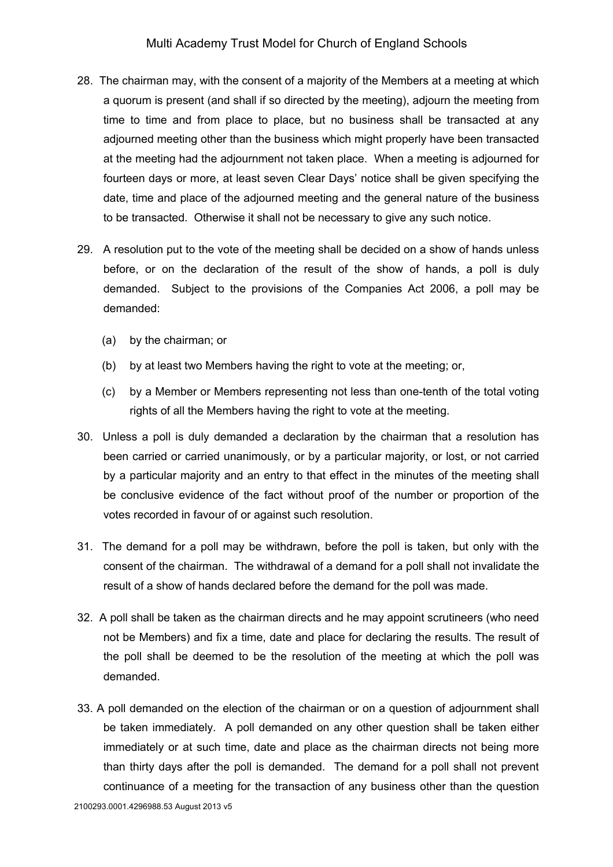- 28. The chairman may, with the consent of a majority of the Members at a meeting at which a quorum is present (and shall if so directed by the meeting), adjourn the meeting from time to time and from place to place, but no business shall be transacted at any adjourned meeting other than the business which might properly have been transacted at the meeting had the adjournment not taken place. When a meeting is adjourned for fourteen days or more, at least seven Clear Days' notice shall be given specifying the date, time and place of the adjourned meeting and the general nature of the business to be transacted. Otherwise it shall not be necessary to give any such notice.
- 29. A resolution put to the vote of the meeting shall be decided on a show of hands unless before, or on the declaration of the result of the show of hands, a poll is duly demanded. Subject to the provisions of the Companies Act 2006, a poll may be demanded:
	- (a) by the chairman; or
	- (b) by at least two Members having the right to vote at the meeting; or,
	- (c) by a Member or Members representing not less than one-tenth of the total voting rights of all the Members having the right to vote at the meeting.
- 30. Unless a poll is duly demanded a declaration by the chairman that a resolution has been carried or carried unanimously, or by a particular majority, or lost, or not carried by a particular majority and an entry to that effect in the minutes of the meeting shall be conclusive evidence of the fact without proof of the number or proportion of the votes recorded in favour of or against such resolution.
- 31. The demand for a poll may be withdrawn, before the poll is taken, but only with the consent of the chairman. The withdrawal of a demand for a poll shall not invalidate the result of a show of hands declared before the demand for the poll was made.
- 32. A poll shall be taken as the chairman directs and he may appoint scrutineers (who need not be Members) and fix a time, date and place for declaring the results. The result of the poll shall be deemed to be the resolution of the meeting at which the poll was demanded.
- 33. A poll demanded on the election of the chairman or on a question of adjournment shall be taken immediately. A poll demanded on any other question shall be taken either immediately or at such time, date and place as the chairman directs not being more than thirty days after the poll is demanded. The demand for a poll shall not prevent continuance of a meeting for the transaction of any business other than the question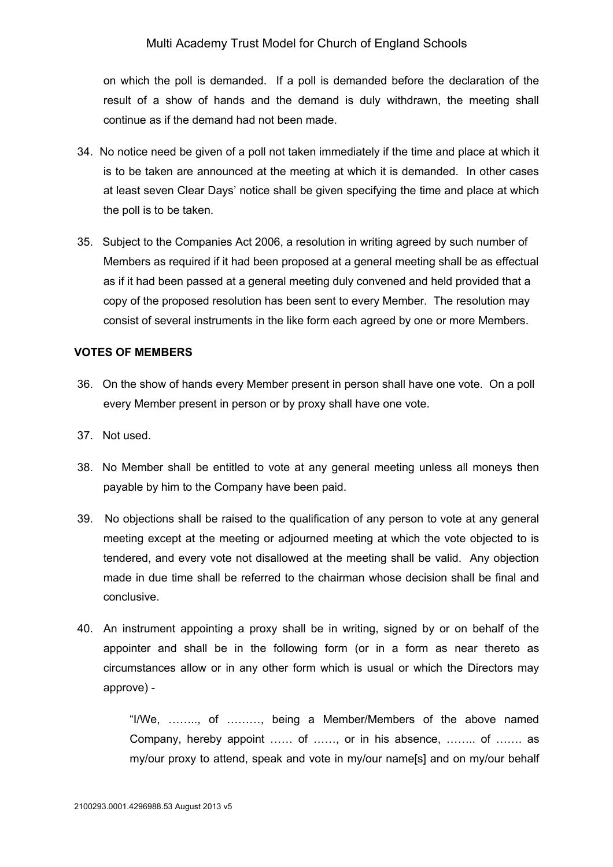on which the poll is demanded. If a poll is demanded before the declaration of the result of a show of hands and the demand is duly withdrawn, the meeting shall continue as if the demand had not been made.

- 34. No notice need be given of a poll not taken immediately if the time and place at which it is to be taken are announced at the meeting at which it is demanded. In other cases at least seven Clear Days' notice shall be given specifying the time and place at which the poll is to be taken.
- 35. Subject to the Companies Act 2006, a resolution in writing agreed by such number of Members as required if it had been proposed at a general meeting shall be as effectual as if it had been passed at a general meeting duly convened and held provided that a copy of the proposed resolution has been sent to every Member. The resolution may consist of several instruments in the like form each agreed by one or more Members.

#### **VOTES OF MEMBERS**

- 36. On the show of hands every Member present in person shall have one vote. On a poll every Member present in person or by proxy shall have one vote.
- 37. Not used.
- 38. No Member shall be entitled to vote at any general meeting unless all moneys then payable by him to the Company have been paid.
- 39. No objections shall be raised to the qualification of any person to vote at any general meeting except at the meeting or adjourned meeting at which the vote objected to is tendered, and every vote not disallowed at the meeting shall be valid. Any objection made in due time shall be referred to the chairman whose decision shall be final and conclusive.
- 40. An instrument appointing a proxy shall be in writing, signed by or on behalf of the appointer and shall be in the following form (or in a form as near thereto as circumstances allow or in any other form which is usual or which the Directors may approve) -

"I/We, …….., of ………, being a Member/Members of the above named Company, hereby appoint …… of ……, or in his absence, …….. of ……. as my/our proxy to attend, speak and vote in my/our name[s] and on my/our behalf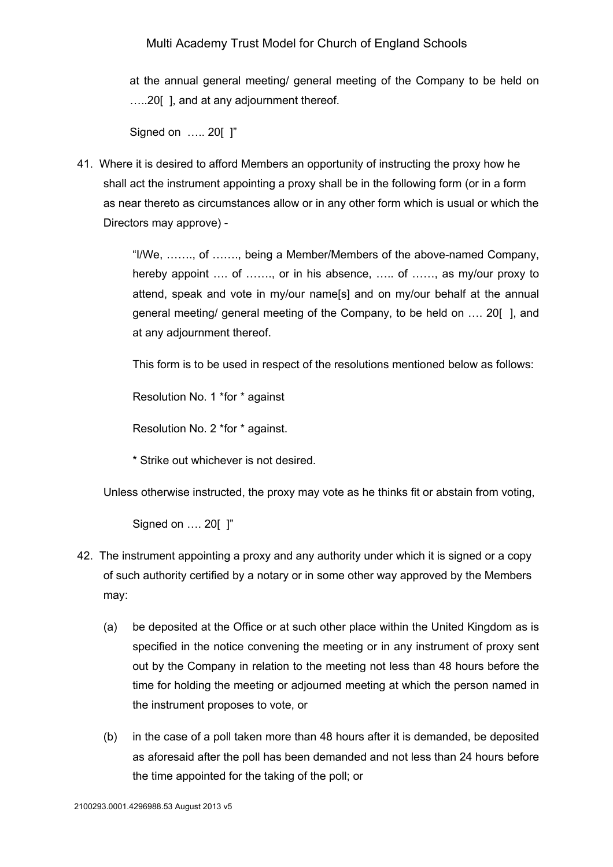at the annual general meeting/ general meeting of the Company to be held on …..20[ ], and at any adjournment thereof.

Signed on ..... 20[ ]"

41. Where it is desired to afford Members an opportunity of instructing the proxy how he shall act the instrument appointing a proxy shall be in the following form (or in a form as near thereto as circumstances allow or in any other form which is usual or which the Directors may approve) -

> "I/We, ……., of ……., being a Member/Members of the above-named Company, hereby appoint .... of ......., or in his absence, ..... of ......, as my/our proxy to attend, speak and vote in my/our name[s] and on my/our behalf at the annual general meeting/ general meeting of the Company, to be held on …. 20[ ], and at any adjournment thereof.

This form is to be used in respect of the resolutions mentioned below as follows:

Resolution No. 1 \*for \* against

Resolution No. 2 \*for \* against.

\* Strike out whichever is not desired.

Unless otherwise instructed, the proxy may vote as he thinks fit or abstain from voting,

Signed on …. 20[ ]"

- 42. The instrument appointing a proxy and any authority under which it is signed or a copy of such authority certified by a notary or in some other way approved by the Members may:
	- (a) be deposited at the Office or at such other place within the United Kingdom as is specified in the notice convening the meeting or in any instrument of proxy sent out by the Company in relation to the meeting not less than 48 hours before the time for holding the meeting or adjourned meeting at which the person named in the instrument proposes to vote, or
	- (b) in the case of a poll taken more than 48 hours after it is demanded, be deposited as aforesaid after the poll has been demanded and not less than 24 hours before the time appointed for the taking of the poll; or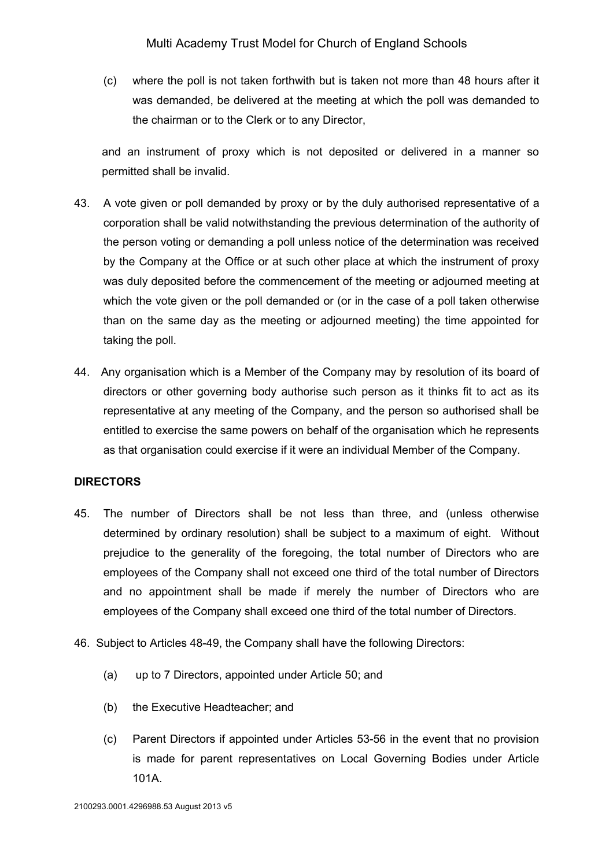(c) where the poll is not taken forthwith but is taken not more than 48 hours after it was demanded, be delivered at the meeting at which the poll was demanded to the chairman or to the Clerk or to any Director,

and an instrument of proxy which is not deposited or delivered in a manner so permitted shall be invalid.

- 43. A vote given or poll demanded by proxy or by the duly authorised representative of a corporation shall be valid notwithstanding the previous determination of the authority of the person voting or demanding a poll unless notice of the determination was received by the Company at the Office or at such other place at which the instrument of proxy was duly deposited before the commencement of the meeting or adjourned meeting at which the vote given or the poll demanded or (or in the case of a poll taken otherwise than on the same day as the meeting or adjourned meeting) the time appointed for taking the poll.
- 44. Any organisation which is a Member of the Company may by resolution of its board of directors or other governing body authorise such person as it thinks fit to act as its representative at any meeting of the Company, and the person so authorised shall be entitled to exercise the same powers on behalf of the organisation which he represents as that organisation could exercise if it were an individual Member of the Company.

### **DIRECTORS**

- 45. The number of Directors shall be not less than three, and (unless otherwise determined by ordinary resolution) shall be subject to a maximum of eight. Without prejudice to the generality of the foregoing, the total number of Directors who are employees of the Company shall not exceed one third of the total number of Directors and no appointment shall be made if merely the number of Directors who are employees of the Company shall exceed one third of the total number of Directors.
- 46. Subject to Articles 48-49, the Company shall have the following Directors:
	- (a) up to 7 Directors, appointed under Article 50; and
	- (b) the Executive Headteacher; and
	- (c) Parent Directors if appointed under Articles 53-56 in the event that no provision is made for parent representatives on Local Governing Bodies under Article 101A.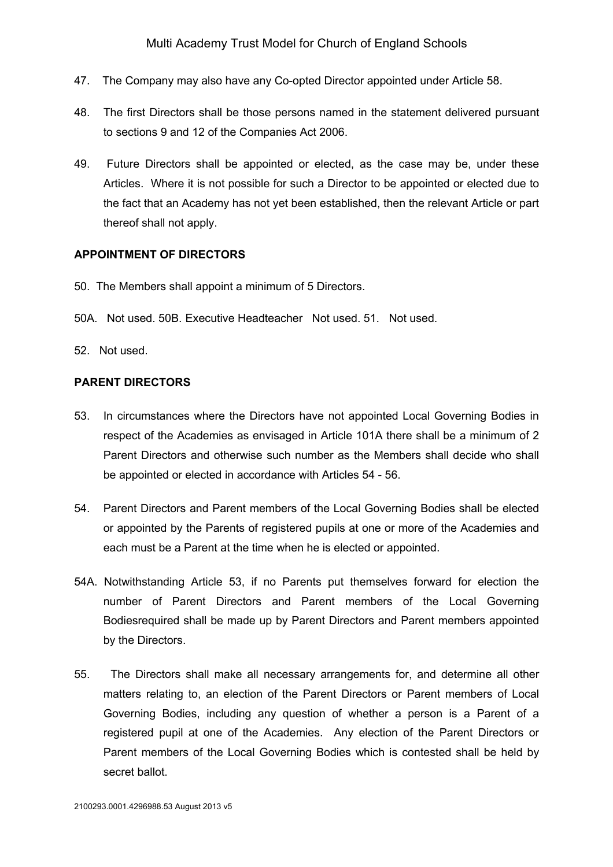- 47. The Company may also have any Co-opted Director appointed under Article 58.
- 48. The first Directors shall be those persons named in the statement delivered pursuant to sections 9 and 12 of the Companies Act 2006.
- 49. Future Directors shall be appointed or elected, as the case may be, under these Articles. Where it is not possible for such a Director to be appointed or elected due to the fact that an Academy has not yet been established, then the relevant Article or part thereof shall not apply.

#### **APPOINTMENT OF DIRECTORS**

- 50. The Members shall appoint a minimum of 5 Directors.
- 50A. Not used. 50B. Executive Headteacher Not used. 51. Not used.
- 52. Not used.

#### **PARENT DIRECTORS**

- 53. In circumstances where the Directors have not appointed Local Governing Bodies in respect of the Academies as envisaged in Article 101A there shall be a minimum of 2 Parent Directors and otherwise such number as the Members shall decide who shall be appointed or elected in accordance with Articles 54 - 56.
- 54. Parent Directors and Parent members of the Local Governing Bodies shall be elected or appointed by the Parents of registered pupils at one or more of the Academies and each must be a Parent at the time when he is elected or appointed.
- 54A. Notwithstanding Article 53, if no Parents put themselves forward for election the number of Parent Directors and Parent members of the Local Governing Bodiesrequired shall be made up by Parent Directors and Parent members appointed by the Directors.
- 55. The Directors shall make all necessary arrangements for, and determine all other matters relating to, an election of the Parent Directors or Parent members of Local Governing Bodies, including any question of whether a person is a Parent of a registered pupil at one of the Academies. Any election of the Parent Directors or Parent members of the Local Governing Bodies which is contested shall be held by secret ballot.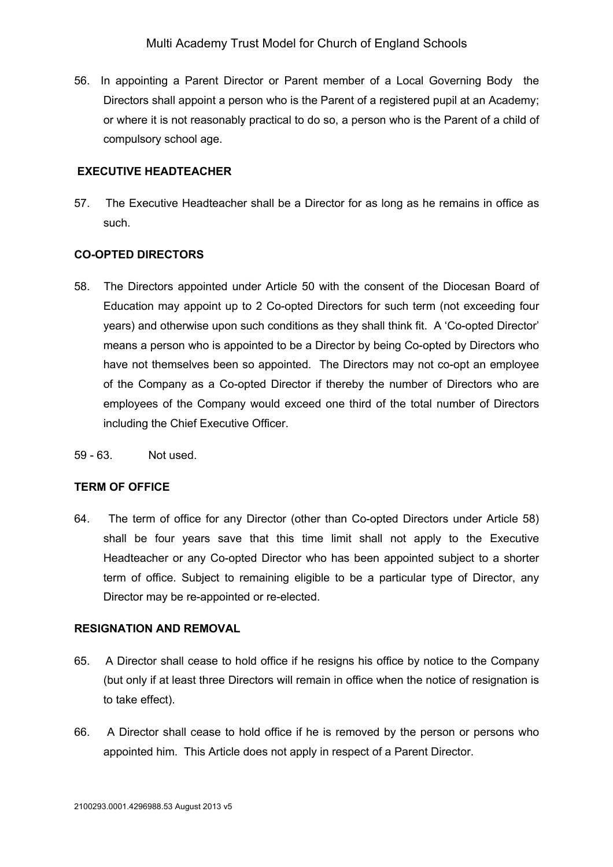56. In appointing a Parent Director or Parent member of a Local Governing Body the Directors shall appoint a person who is the Parent of a registered pupil at an Academy; or where it is not reasonably practical to do so, a person who is the Parent of a child of compulsory school age.

### **EXECUTIVE HEADTEACHER**

57. The Executive Headteacher shall be a Director for as long as he remains in office as such.

## **CO-OPTED DIRECTORS**

- 58. The Directors appointed under Article 50 with the consent of the Diocesan Board of Education may appoint up to 2 Co-opted Directors for such term (not exceeding four years) and otherwise upon such conditions as they shall think fit. A 'Co-opted Director' means a person who is appointed to be a Director by being Co-opted by Directors who have not themselves been so appointed. The Directors may not co-opt an employee of the Company as a Co-opted Director if thereby the number of Directors who are employees of the Company would exceed one third of the total number of Directors including the Chief Executive Officer.
- 59 63. Not used.

# **TERM OF OFFICE**

64. The term of office for any Director (other than Co-opted Directors under Article 58) shall be four years save that this time limit shall not apply to the Executive Headteacher or any Co-opted Director who has been appointed subject to a shorter term of office. Subject to remaining eligible to be a particular type of Director, any Director may be re-appointed or re-elected.

### **RESIGNATION AND REMOVAL**

- 65. A Director shall cease to hold office if he resigns his office by notice to the Company (but only if at least three Directors will remain in office when the notice of resignation is to take effect).
- 66. A Director shall cease to hold office if he is removed by the person or persons who appointed him. This Article does not apply in respect of a Parent Director.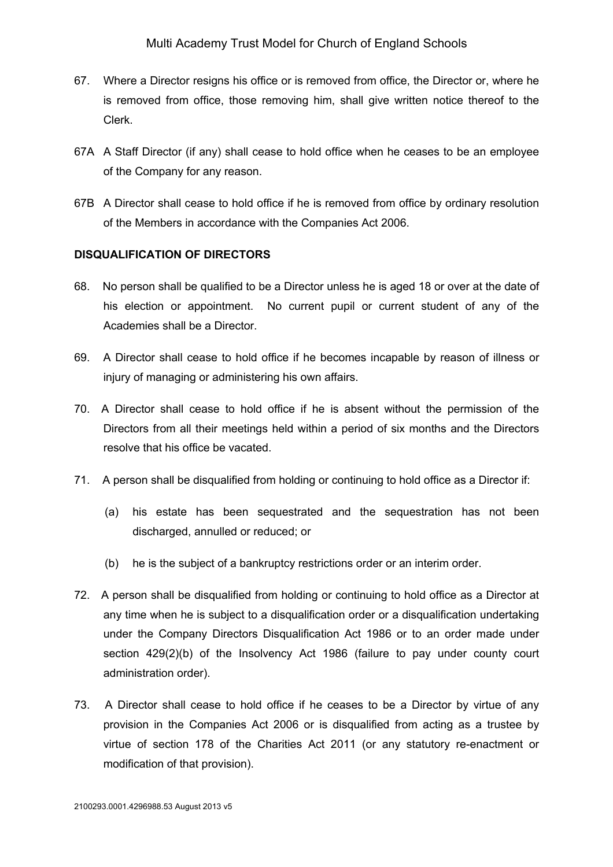- 67. Where a Director resigns his office or is removed from office, the Director or, where he is removed from office, those removing him, shall give written notice thereof to the Clerk.
- 67A A Staff Director (if any) shall cease to hold office when he ceases to be an employee of the Company for any reason.
- 67B A Director shall cease to hold office if he is removed from office by ordinary resolution of the Members in accordance with the Companies Act 2006.

### **DISQUALIFICATION OF DIRECTORS**

- 68. No person shall be qualified to be a Director unless he is aged 18 or over at the date of his election or appointment. No current pupil or current student of any of the Academies shall be a Director.
- 69. A Director shall cease to hold office if he becomes incapable by reason of illness or injury of managing or administering his own affairs.
- 70. A Director shall cease to hold office if he is absent without the permission of the Directors from all their meetings held within a period of six months and the Directors resolve that his office be vacated.
- 71. A person shall be disqualified from holding or continuing to hold office as a Director if:
	- (a) his estate has been sequestrated and the sequestration has not been discharged, annulled or reduced; or
	- (b) he is the subject of a bankruptcy restrictions order or an interim order.
- 72. A person shall be disqualified from holding or continuing to hold office as a Director at any time when he is subject to a disqualification order or a disqualification undertaking under the Company Directors Disqualification Act 1986 or to an order made under section 429(2)(b) of the Insolvency Act 1986 (failure to pay under county court administration order).
- 73. A Director shall cease to hold office if he ceases to be a Director by virtue of any provision in the Companies Act 2006 or is disqualified from acting as a trustee by virtue of section 178 of the Charities Act 2011 (or any statutory re-enactment or modification of that provision).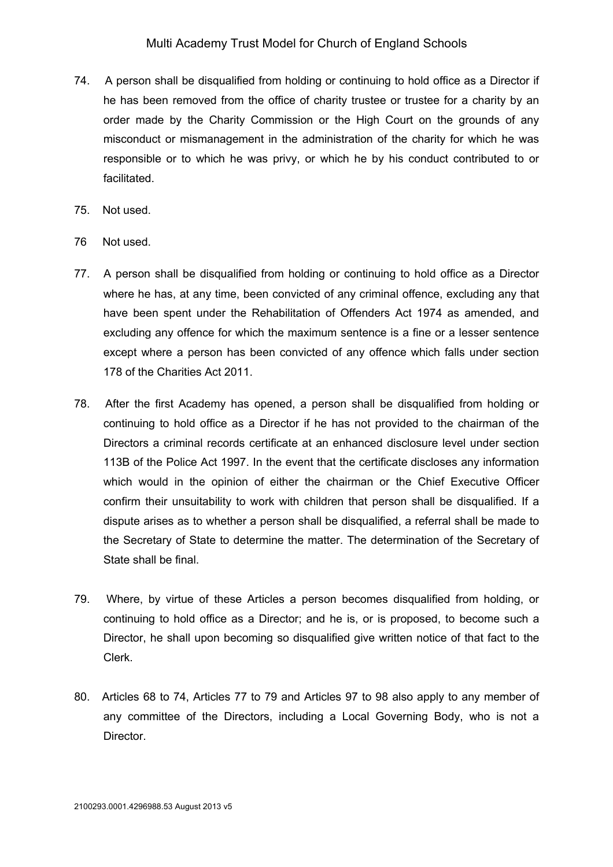- 74. A person shall be disqualified from holding or continuing to hold office as a Director if he has been removed from the office of charity trustee or trustee for a charity by an order made by the Charity Commission or the High Court on the grounds of any misconduct or mismanagement in the administration of the charity for which he was responsible or to which he was privy, or which he by his conduct contributed to or facilitated.
- 75. Not used.
- 76 Not used.
- 77. A person shall be disqualified from holding or continuing to hold office as a Director where he has, at any time, been convicted of any criminal offence, excluding any that have been spent under the Rehabilitation of Offenders Act 1974 as amended, and excluding any offence for which the maximum sentence is a fine or a lesser sentence except where a person has been convicted of any offence which falls under section 178 of the Charities Act 2011.
- 78. After the first Academy has opened, a person shall be disqualified from holding or continuing to hold office as a Director if he has not provided to the chairman of the Directors a criminal records certificate at an enhanced disclosure level under section 113B of the Police Act 1997. In the event that the certificate discloses any information which would in the opinion of either the chairman or the Chief Executive Officer confirm their unsuitability to work with children that person shall be disqualified. If a dispute arises as to whether a person shall be disqualified, a referral shall be made to the Secretary of State to determine the matter. The determination of the Secretary of State shall be final.
- 79. Where, by virtue of these Articles a person becomes disqualified from holding, or continuing to hold office as a Director; and he is, or is proposed, to become such a Director, he shall upon becoming so disqualified give written notice of that fact to the Clerk.
- 80. Articles 68 to 74, Articles 77 to 79 and Articles 97 to 98 also apply to any member of any committee of the Directors, including a Local Governing Body, who is not a Director.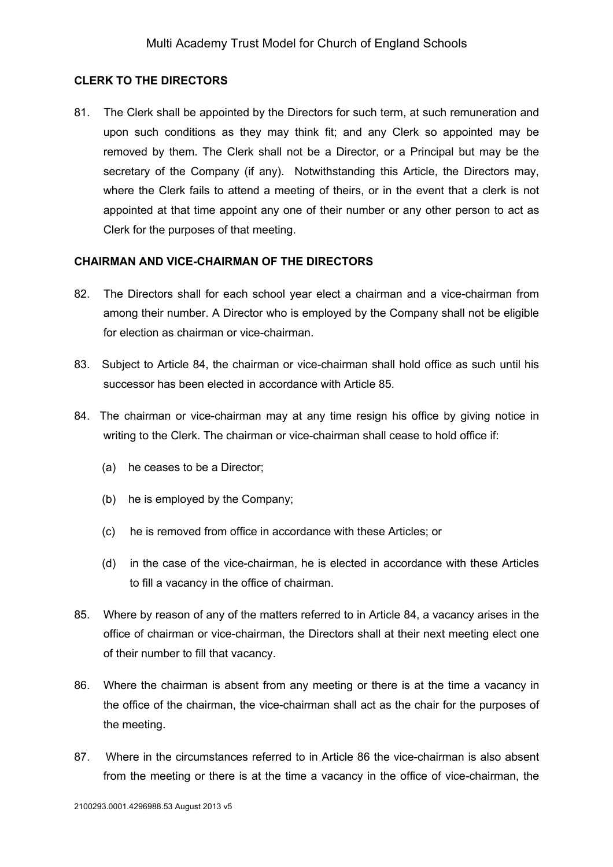### **CLERK TO THE DIRECTORS**

81. The Clerk shall be appointed by the Directors for such term, at such remuneration and upon such conditions as they may think fit; and any Clerk so appointed may be removed by them. The Clerk shall not be a Director, or a Principal but may be the secretary of the Company (if any). Notwithstanding this Article, the Directors may, where the Clerk fails to attend a meeting of theirs, or in the event that a clerk is not appointed at that time appoint any one of their number or any other person to act as Clerk for the purposes of that meeting.

### **CHAIRMAN AND VICE-CHAIRMAN OF THE DIRECTORS**

- 82. The Directors shall for each school year elect a chairman and a vice-chairman from among their number. A Director who is employed by the Company shall not be eligible for election as chairman or vice-chairman.
- 83. Subject to Article 84, the chairman or vice-chairman shall hold office as such until his successor has been elected in accordance with Article 85.
- 84. The chairman or vice-chairman may at any time resign his office by giving notice in writing to the Clerk. The chairman or vice-chairman shall cease to hold office if:
	- (a) he ceases to be a Director;
	- (b) he is employed by the Company;
	- (c) he is removed from office in accordance with these Articles; or
	- (d) in the case of the vice-chairman, he is elected in accordance with these Articles to fill a vacancy in the office of chairman.
- 85. Where by reason of any of the matters referred to in Article 84, a vacancy arises in the office of chairman or vice-chairman, the Directors shall at their next meeting elect one of their number to fill that vacancy.
- 86. Where the chairman is absent from any meeting or there is at the time a vacancy in the office of the chairman, the vice-chairman shall act as the chair for the purposes of the meeting.
- 87. Where in the circumstances referred to in Article 86 the vice-chairman is also absent from the meeting or there is at the time a vacancy in the office of vice-chairman, the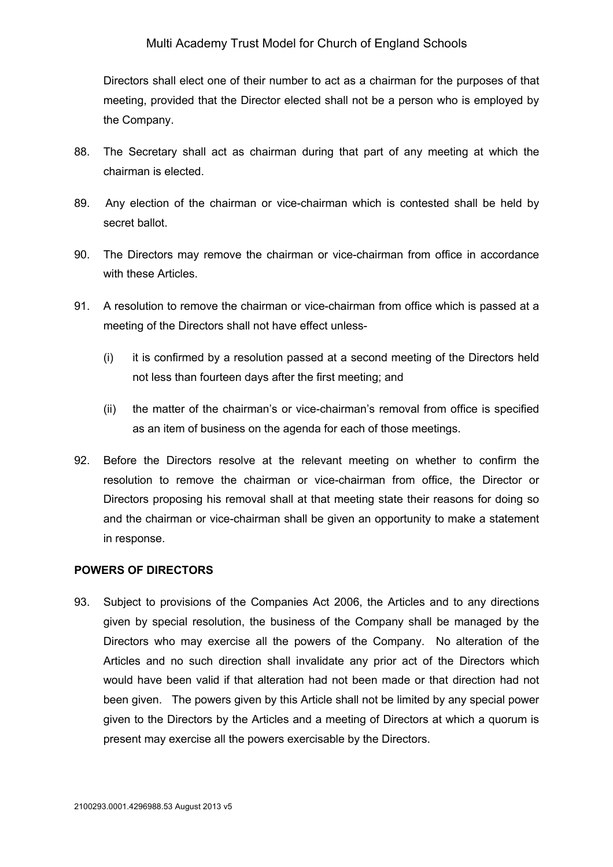Directors shall elect one of their number to act as a chairman for the purposes of that meeting, provided that the Director elected shall not be a person who is employed by the Company.

- 88. The Secretary shall act as chairman during that part of any meeting at which the chairman is elected.
- 89. Any election of the chairman or vice-chairman which is contested shall be held by secret ballot.
- 90. The Directors may remove the chairman or vice-chairman from office in accordance with these Articles.
- 91. A resolution to remove the chairman or vice-chairman from office which is passed at a meeting of the Directors shall not have effect unless-
	- (i) it is confirmed by a resolution passed at a second meeting of the Directors held not less than fourteen days after the first meeting; and
	- (ii) the matter of the chairman's or vice-chairman's removal from office is specified as an item of business on the agenda for each of those meetings.
- 92. Before the Directors resolve at the relevant meeting on whether to confirm the resolution to remove the chairman or vice-chairman from office, the Director or Directors proposing his removal shall at that meeting state their reasons for doing so and the chairman or vice-chairman shall be given an opportunity to make a statement in response.

### **POWERS OF DIRECTORS**

93. Subject to provisions of the Companies Act 2006, the Articles and to any directions given by special resolution, the business of the Company shall be managed by the Directors who may exercise all the powers of the Company. No alteration of the Articles and no such direction shall invalidate any prior act of the Directors which would have been valid if that alteration had not been made or that direction had not been given. The powers given by this Article shall not be limited by any special power given to the Directors by the Articles and a meeting of Directors at which a quorum is present may exercise all the powers exercisable by the Directors.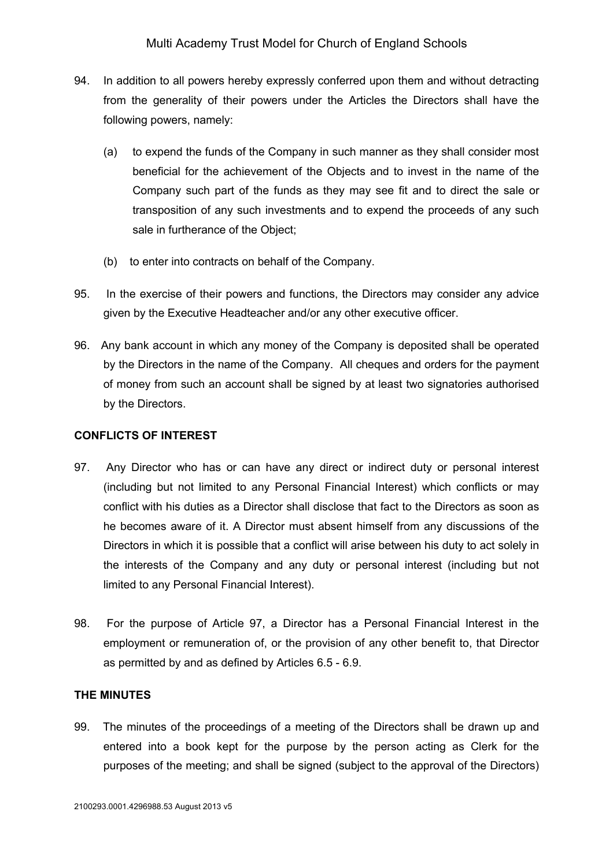- 94. In addition to all powers hereby expressly conferred upon them and without detracting from the generality of their powers under the Articles the Directors shall have the following powers, namely:
	- (a) to expend the funds of the Company in such manner as they shall consider most beneficial for the achievement of the Objects and to invest in the name of the Company such part of the funds as they may see fit and to direct the sale or transposition of any such investments and to expend the proceeds of any such sale in furtherance of the Object;
	- (b) to enter into contracts on behalf of the Company.
- 95. In the exercise of their powers and functions, the Directors may consider any advice given by the Executive Headteacher and/or any other executive officer.
- 96. Any bank account in which any money of the Company is deposited shall be operated by the Directors in the name of the Company. All cheques and orders for the payment of money from such an account shall be signed by at least two signatories authorised by the Directors.

### **CONFLICTS OF INTEREST**

- 97. Any Director who has or can have any direct or indirect duty or personal interest (including but not limited to any Personal Financial Interest) which conflicts or may conflict with his duties as a Director shall disclose that fact to the Directors as soon as he becomes aware of it. A Director must absent himself from any discussions of the Directors in which it is possible that a conflict will arise between his duty to act solely in the interests of the Company and any duty or personal interest (including but not limited to any Personal Financial Interest).
- 98. For the purpose of Article 97, a Director has a Personal Financial Interest in the employment or remuneration of, or the provision of any other benefit to, that Director as permitted by and as defined by Articles 6.5 - 6.9.

# **THE MINUTES**

99. The minutes of the proceedings of a meeting of the Directors shall be drawn up and entered into a book kept for the purpose by the person acting as Clerk for the purposes of the meeting; and shall be signed (subject to the approval of the Directors)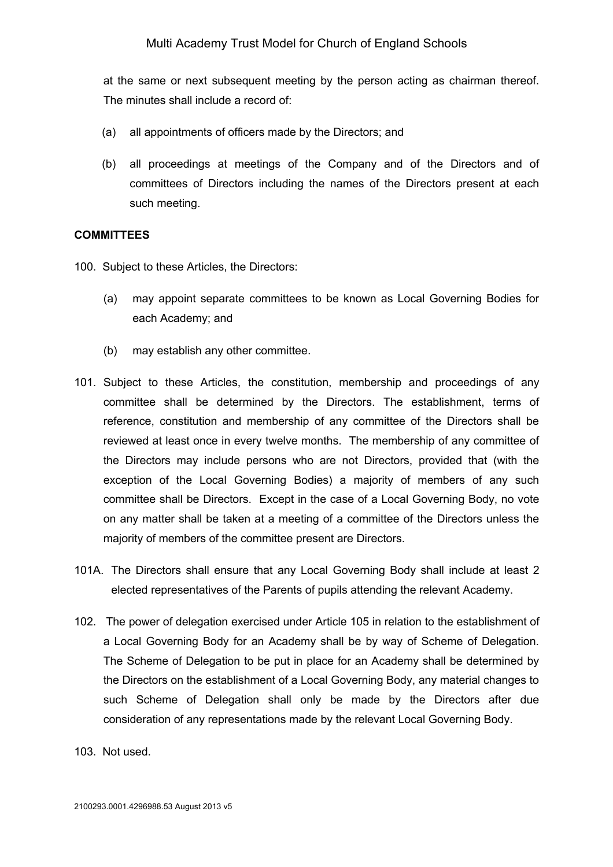at the same or next subsequent meeting by the person acting as chairman thereof. The minutes shall include a record of:

- (a) all appointments of officers made by the Directors; and
- (b) all proceedings at meetings of the Company and of the Directors and of committees of Directors including the names of the Directors present at each such meeting.

### **COMMITTEES**

- 100. Subject to these Articles, the Directors:
	- (a) may appoint separate committees to be known as Local Governing Bodies for each Academy; and
	- (b) may establish any other committee.
- 101. Subject to these Articles, the constitution, membership and proceedings of any committee shall be determined by the Directors. The establishment, terms of reference, constitution and membership of any committee of the Directors shall be reviewed at least once in every twelve months. The membership of any committee of the Directors may include persons who are not Directors, provided that (with the exception of the Local Governing Bodies) a majority of members of any such committee shall be Directors. Except in the case of a Local Governing Body, no vote on any matter shall be taken at a meeting of a committee of the Directors unless the majority of members of the committee present are Directors.
- 101A. The Directors shall ensure that any Local Governing Body shall include at least 2 elected representatives of the Parents of pupils attending the relevant Academy.
- 102. The power of delegation exercised under Article 105 in relation to the establishment of a Local Governing Body for an Academy shall be by way of Scheme of Delegation. The Scheme of Delegation to be put in place for an Academy shall be determined by the Directors on the establishment of a Local Governing Body, any material changes to such Scheme of Delegation shall only be made by the Directors after due consideration of any representations made by the relevant Local Governing Body.
- 103. Not used.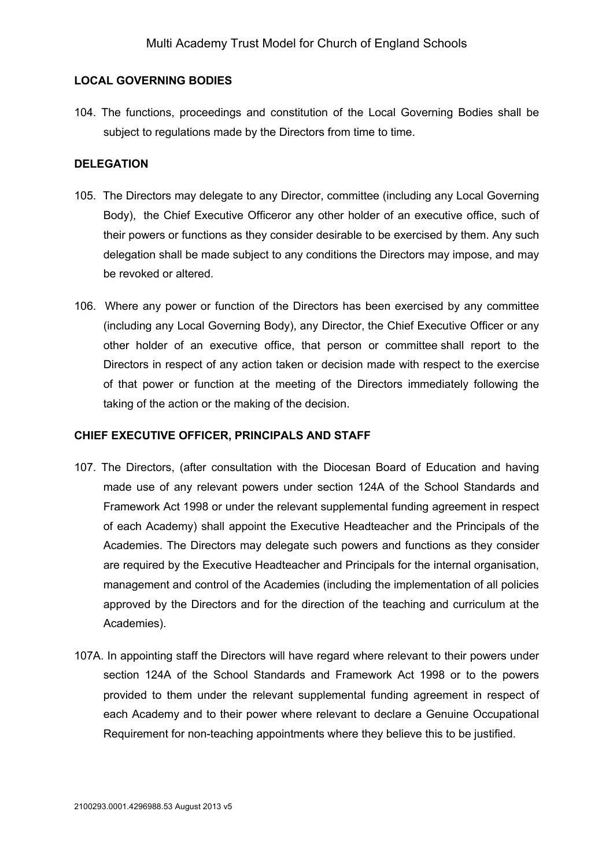### **LOCAL GOVERNING BODIES**

104. The functions, proceedings and constitution of the Local Governing Bodies shall be subject to regulations made by the Directors from time to time.

### **DELEGATION**

- 105. The Directors may delegate to any Director, committee (including any Local Governing Body), the Chief Executive Officeror any other holder of an executive office, such of their powers or functions as they consider desirable to be exercised by them. Any such delegation shall be made subject to any conditions the Directors may impose, and may be revoked or altered.
- 106. Where any power or function of the Directors has been exercised by any committee (including any Local Governing Body), any Director, the Chief Executive Officer or any other holder of an executive office, that person or committee shall report to the Directors in respect of any action taken or decision made with respect to the exercise of that power or function at the meeting of the Directors immediately following the taking of the action or the making of the decision.

### **CHIEF EXECUTIVE OFFICER, PRINCIPALS AND STAFF**

- 107. The Directors, (after consultation with the Diocesan Board of Education and having made use of any relevant powers under section 124A of the School Standards and Framework Act 1998 or under the relevant supplemental funding agreement in respect of each Academy) shall appoint the Executive Headteacher and the Principals of the Academies. The Directors may delegate such powers and functions as they consider are required by the Executive Headteacher and Principals for the internal organisation, management and control of the Academies (including the implementation of all policies approved by the Directors and for the direction of the teaching and curriculum at the Academies).
- 107A. In appointing staff the Directors will have regard where relevant to their powers under section 124A of the School Standards and Framework Act 1998 or to the powers provided to them under the relevant supplemental funding agreement in respect of each Academy and to their power where relevant to declare a Genuine Occupational Requirement for non-teaching appointments where they believe this to be justified.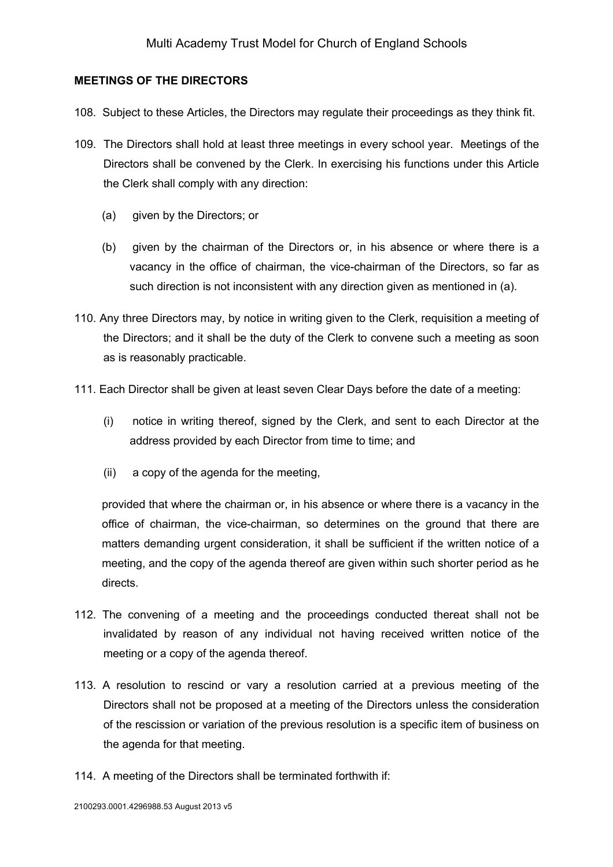### **MEETINGS OF THE DIRECTORS**

- 108. Subject to these Articles, the Directors may regulate their proceedings as they think fit.
- 109. The Directors shall hold at least three meetings in every school year. Meetings of the Directors shall be convened by the Clerk. In exercising his functions under this Article the Clerk shall comply with any direction:
	- (a) given by the Directors; or
	- (b) given by the chairman of the Directors or, in his absence or where there is a vacancy in the office of chairman, the vice-chairman of the Directors, so far as such direction is not inconsistent with any direction given as mentioned in (a).
- 110. Any three Directors may, by notice in writing given to the Clerk, requisition a meeting of the Directors; and it shall be the duty of the Clerk to convene such a meeting as soon as is reasonably practicable.
- 111. Each Director shall be given at least seven Clear Days before the date of a meeting:
	- (i) notice in writing thereof, signed by the Clerk, and sent to each Director at the address provided by each Director from time to time; and
	- (ii) a copy of the agenda for the meeting,

provided that where the chairman or, in his absence or where there is a vacancy in the office of chairman, the vice-chairman, so determines on the ground that there are matters demanding urgent consideration, it shall be sufficient if the written notice of a meeting, and the copy of the agenda thereof are given within such shorter period as he directs.

- 112. The convening of a meeting and the proceedings conducted thereat shall not be invalidated by reason of any individual not having received written notice of the meeting or a copy of the agenda thereof.
- 113. A resolution to rescind or vary a resolution carried at a previous meeting of the Directors shall not be proposed at a meeting of the Directors unless the consideration of the rescission or variation of the previous resolution is a specific item of business on the agenda for that meeting.
- 114. A meeting of the Directors shall be terminated forthwith if: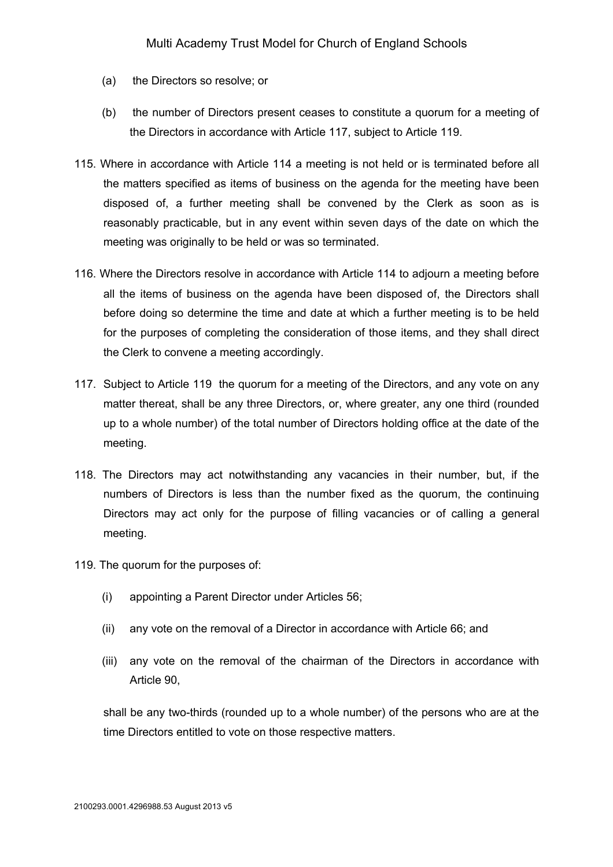- (a) the Directors so resolve; or
- (b) the number of Directors present ceases to constitute a quorum for a meeting of the Directors in accordance with Article 117, subject to Article 119.
- 115. Where in accordance with Article 114 a meeting is not held or is terminated before all the matters specified as items of business on the agenda for the meeting have been disposed of, a further meeting shall be convened by the Clerk as soon as is reasonably practicable, but in any event within seven days of the date on which the meeting was originally to be held or was so terminated.
- 116. Where the Directors resolve in accordance with Article 114 to adjourn a meeting before all the items of business on the agenda have been disposed of, the Directors shall before doing so determine the time and date at which a further meeting is to be held for the purposes of completing the consideration of those items, and they shall direct the Clerk to convene a meeting accordingly.
- 117. Subject to Article 119 the quorum for a meeting of the Directors, and any vote on any matter thereat, shall be any three Directors, or, where greater, any one third (rounded up to a whole number) of the total number of Directors holding office at the date of the meeting.
- 118. The Directors may act notwithstanding any vacancies in their number, but, if the numbers of Directors is less than the number fixed as the quorum, the continuing Directors may act only for the purpose of filling vacancies or of calling a general meeting.
- 119. The quorum for the purposes of:
	- (i) appointing a Parent Director under Articles 56;
	- (ii) any vote on the removal of a Director in accordance with Article 66; and
	- (iii) any vote on the removal of the chairman of the Directors in accordance with Article 90,

shall be any two-thirds (rounded up to a whole number) of the persons who are at the time Directors entitled to vote on those respective matters.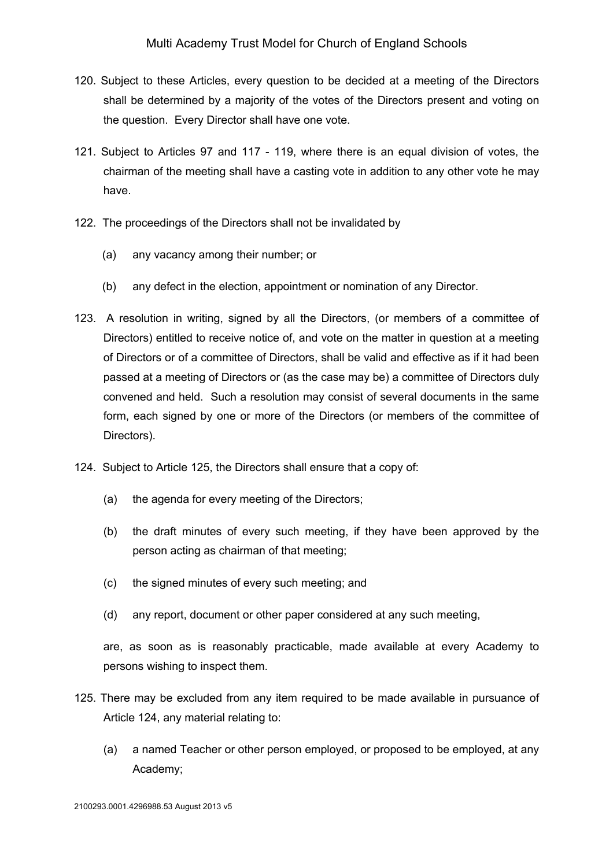- 120. Subject to these Articles, every question to be decided at a meeting of the Directors shall be determined by a majority of the votes of the Directors present and voting on the question. Every Director shall have one vote.
- 121. Subject to Articles 97 and 117 119, where there is an equal division of votes, the chairman of the meeting shall have a casting vote in addition to any other vote he may have.
- 122. The proceedings of the Directors shall not be invalidated by
	- (a) any vacancy among their number; or
	- (b) any defect in the election, appointment or nomination of any Director.
- 123. A resolution in writing, signed by all the Directors, (or members of a committee of Directors) entitled to receive notice of, and vote on the matter in question at a meeting of Directors or of a committee of Directors, shall be valid and effective as if it had been passed at a meeting of Directors or (as the case may be) a committee of Directors duly convened and held. Such a resolution may consist of several documents in the same form, each signed by one or more of the Directors (or members of the committee of Directors).
- 124. Subject to Article 125, the Directors shall ensure that a copy of:
	- (a) the agenda for every meeting of the Directors;
	- (b) the draft minutes of every such meeting, if they have been approved by the person acting as chairman of that meeting;
	- (c) the signed minutes of every such meeting; and
	- (d) any report, document or other paper considered at any such meeting,

are, as soon as is reasonably practicable, made available at every Academy to persons wishing to inspect them.

- 125. There may be excluded from any item required to be made available in pursuance of Article 124, any material relating to:
	- (a) a named Teacher or other person employed, or proposed to be employed, at any Academy;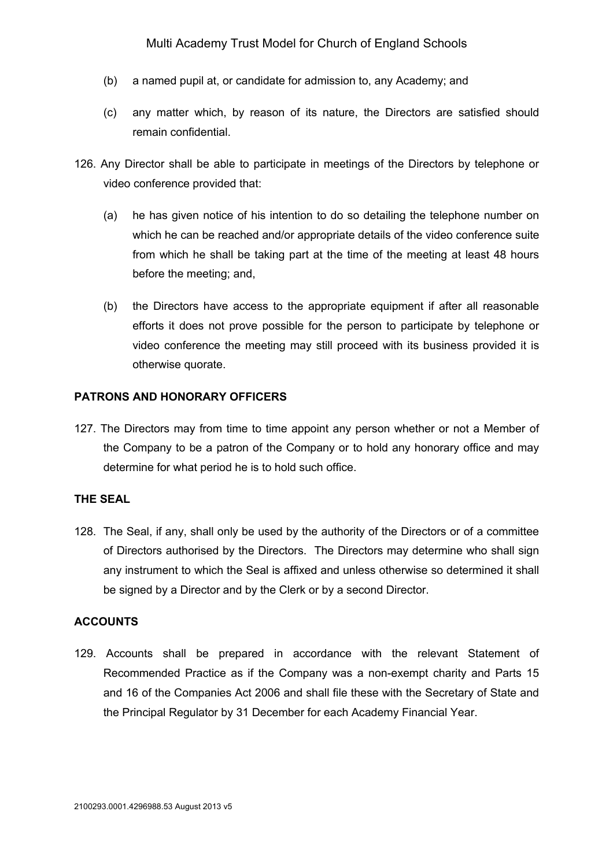- (b) a named pupil at, or candidate for admission to, any Academy; and
- (c) any matter which, by reason of its nature, the Directors are satisfied should remain confidential.
- 126. Any Director shall be able to participate in meetings of the Directors by telephone or video conference provided that:
	- (a) he has given notice of his intention to do so detailing the telephone number on which he can be reached and/or appropriate details of the video conference suite from which he shall be taking part at the time of the meeting at least 48 hours before the meeting; and,
	- (b) the Directors have access to the appropriate equipment if after all reasonable efforts it does not prove possible for the person to participate by telephone or video conference the meeting may still proceed with its business provided it is otherwise quorate.

## **PATRONS AND HONORARY OFFICERS**

127. The Directors may from time to time appoint any person whether or not a Member of the Company to be a patron of the Company or to hold any honorary office and may determine for what period he is to hold such office.

### **THE SEAL**

128. The Seal, if any, shall only be used by the authority of the Directors or of a committee of Directors authorised by the Directors. The Directors may determine who shall sign any instrument to which the Seal is affixed and unless otherwise so determined it shall be signed by a Director and by the Clerk or by a second Director.

### **ACCOUNTS**

129. Accounts shall be prepared in accordance with the relevant Statement of Recommended Practice as if the Company was a non-exempt charity and Parts 15 and 16 of the Companies Act 2006 and shall file these with the Secretary of State and the Principal Regulator by 31 December for each Academy Financial Year.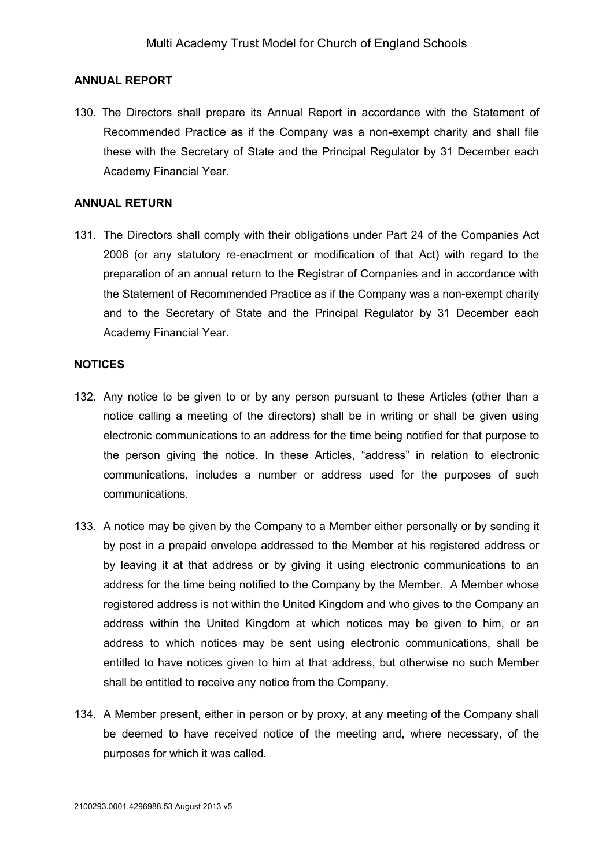### **ANNUAL REPORT**

130. The Directors shall prepare its Annual Report in accordance with the Statement of Recommended Practice as if the Company was a non-exempt charity and shall file these with the Secretary of State and the Principal Regulator by 31 December each Academy Financial Year.

#### **ANNUAL RETURN**

131. The Directors shall comply with their obligations under Part 24 of the Companies Act 2006 (or any statutory re-enactment or modification of that Act) with regard to the preparation of an annual return to the Registrar of Companies and in accordance with the Statement of Recommended Practice as if the Company was a non-exempt charity and to the Secretary of State and the Principal Regulator by 31 December each Academy Financial Year.

### **NOTICES**

- 132. Any notice to be given to or by any person pursuant to these Articles (other than a notice calling a meeting of the directors) shall be in writing or shall be given using electronic communications to an address for the time being notified for that purpose to the person giving the notice. In these Articles, "address" in relation to electronic communications, includes a number or address used for the purposes of such communications.
- 133. A notice may be given by the Company to a Member either personally or by sending it by post in a prepaid envelope addressed to the Member at his registered address or by leaving it at that address or by giving it using electronic communications to an address for the time being notified to the Company by the Member. A Member whose registered address is not within the United Kingdom and who gives to the Company an address within the United Kingdom at which notices may be given to him, or an address to which notices may be sent using electronic communications, shall be entitled to have notices given to him at that address, but otherwise no such Member shall be entitled to receive any notice from the Company.
- 134. A Member present, either in person or by proxy, at any meeting of the Company shall be deemed to have received notice of the meeting and, where necessary, of the purposes for which it was called.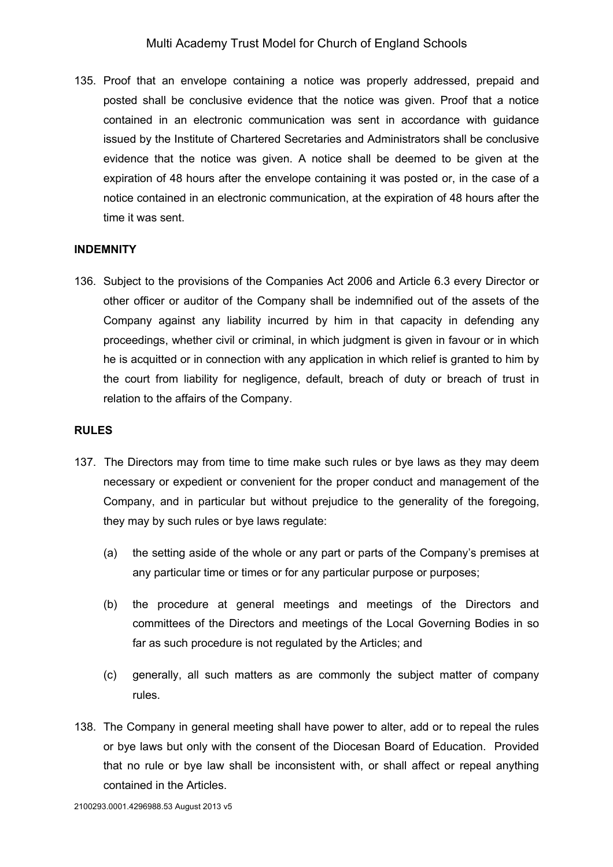135. Proof that an envelope containing a notice was properly addressed, prepaid and posted shall be conclusive evidence that the notice was given. Proof that a notice contained in an electronic communication was sent in accordance with guidance issued by the Institute of Chartered Secretaries and Administrators shall be conclusive evidence that the notice was given. A notice shall be deemed to be given at the expiration of 48 hours after the envelope containing it was posted or, in the case of a notice contained in an electronic communication, at the expiration of 48 hours after the time it was sent.

### **INDEMNITY**

136. Subject to the provisions of the Companies Act 2006 and Article 6.3 every Director or other officer or auditor of the Company shall be indemnified out of the assets of the Company against any liability incurred by him in that capacity in defending any proceedings, whether civil or criminal, in which judgment is given in favour or in which he is acquitted or in connection with any application in which relief is granted to him by the court from liability for negligence, default, breach of duty or breach of trust in relation to the affairs of the Company.

#### **RULES**

- 137. The Directors may from time to time make such rules or bye laws as they may deem necessary or expedient or convenient for the proper conduct and management of the Company, and in particular but without prejudice to the generality of the foregoing, they may by such rules or bye laws regulate:
	- (a) the setting aside of the whole or any part or parts of the Company's premises at any particular time or times or for any particular purpose or purposes;
	- (b) the procedure at general meetings and meetings of the Directors and committees of the Directors and meetings of the Local Governing Bodies in so far as such procedure is not regulated by the Articles; and
	- (c) generally, all such matters as are commonly the subject matter of company rules.
- 138. The Company in general meeting shall have power to alter, add or to repeal the rules or bye laws but only with the consent of the Diocesan Board of Education. Provided that no rule or bye law shall be inconsistent with, or shall affect or repeal anything contained in the Articles.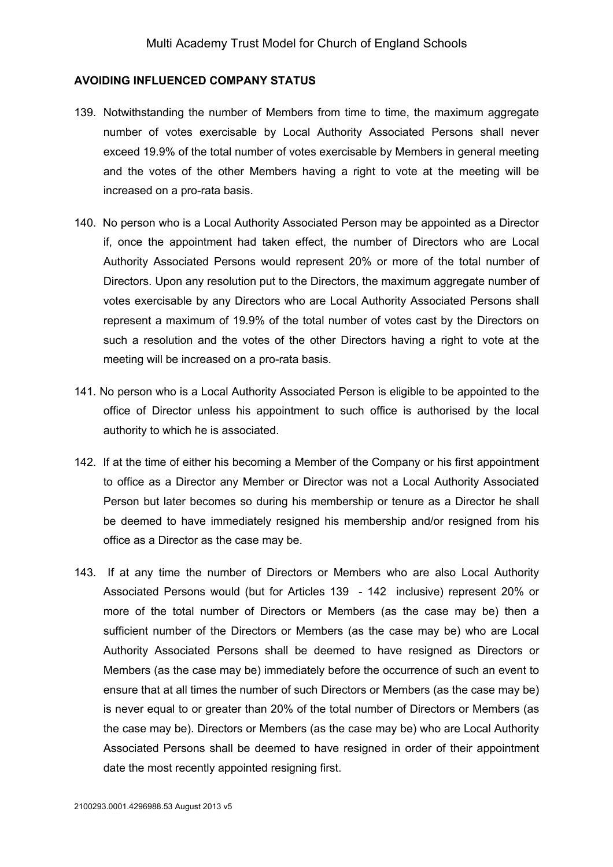#### **AVOIDING INFLUENCED COMPANY STATUS**

- 139. Notwithstanding the number of Members from time to time, the maximum aggregate number of votes exercisable by Local Authority Associated Persons shall never exceed 19.9% of the total number of votes exercisable by Members in general meeting and the votes of the other Members having a right to vote at the meeting will be increased on a pro-rata basis.
- 140. No person who is a Local Authority Associated Person may be appointed as a Director if, once the appointment had taken effect, the number of Directors who are Local Authority Associated Persons would represent 20% or more of the total number of Directors. Upon any resolution put to the Directors, the maximum aggregate number of votes exercisable by any Directors who are Local Authority Associated Persons shall represent a maximum of 19.9% of the total number of votes cast by the Directors on such a resolution and the votes of the other Directors having a right to vote at the meeting will be increased on a pro-rata basis.
- 141. No person who is a Local Authority Associated Person is eligible to be appointed to the office of Director unless his appointment to such office is authorised by the local authority to which he is associated.
- 142. If at the time of either his becoming a Member of the Company or his first appointment to office as a Director any Member or Director was not a Local Authority Associated Person but later becomes so during his membership or tenure as a Director he shall be deemed to have immediately resigned his membership and/or resigned from his office as a Director as the case may be.
- 143. If at any time the number of Directors or Members who are also Local Authority Associated Persons would (but for Articles 139 - 142 inclusive) represent 20% or more of the total number of Directors or Members (as the case may be) then a sufficient number of the Directors or Members (as the case may be) who are Local Authority Associated Persons shall be deemed to have resigned as Directors or Members (as the case may be) immediately before the occurrence of such an event to ensure that at all times the number of such Directors or Members (as the case may be) is never equal to or greater than 20% of the total number of Directors or Members (as the case may be). Directors or Members (as the case may be) who are Local Authority Associated Persons shall be deemed to have resigned in order of their appointment date the most recently appointed resigning first.